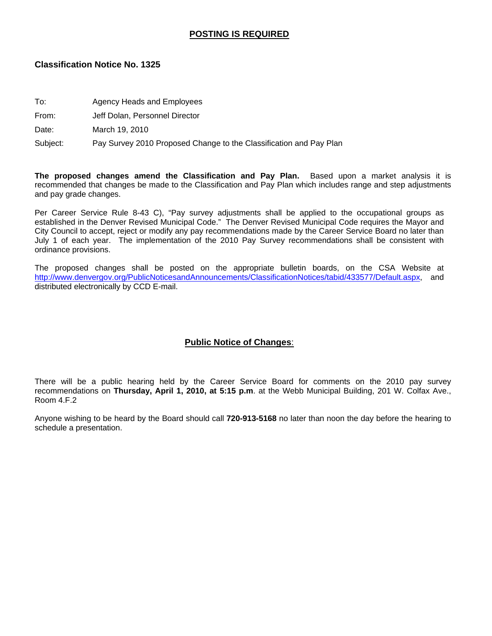#### **POSTING IS REQUIRED**

#### **Classification Notice No. 1325**

- To: Agency Heads and Employees
- From: Jeff Dolan, Personnel Director

Date: March 19, 2010

Subject: Pay Survey 2010 Proposed Change to the Classification and Pay Plan

**The proposed changes amend the Classification and Pay Plan.** Based upon a market analysis it is recommended that changes be made to the Classification and Pay Plan which includes range and step adjustments and pay grade changes.

Per Career Service Rule 8-43 C), "Pay survey adjustments shall be applied to the occupational groups as established in the Denver Revised Municipal Code." The Denver Revised Municipal Code requires the Mayor and City Council to accept, reject or modify any pay recommendations made by the Career Service Board no later than July 1 of each year. The implementation of the 2010 Pay Survey recommendations shall be consistent with ordinance provisions.

The proposed changes shall be posted on the appropriate bulletin boards, on the CSA Website at [http://www.denvergov.org/PublicNoticesandAnnouncements/ClassificationNotices/tabid/433577/Default.aspx,](http://www.denvergov.org/PublicNoticesandAnnouncements/ClassificationNotices/tabid/433577/Default.aspx) and distributed electronically by CCD E-mail.

#### **Public Notice of Changes**:

There will be a public hearing held by the Career Service Board for comments on the 2010 pay survey recommendations on **Thursday, April 1, 2010, at 5:15 p.m**. at the Webb Municipal Building, 201 W. Colfax Ave., Room 4.F.2

Anyone wishing to be heard by the Board should call **720-913-5168** no later than noon the day before the hearing to schedule a presentation.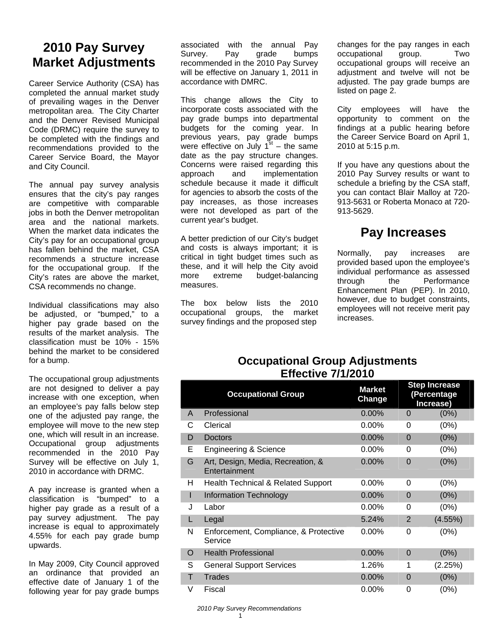# **2010 Pay Survey Market Adjustments**

Career Service Authority (CSA) has completed the annual market study of prevailing wages in the Denver metropolitan area. The City Charter and the Denver Revised Municipal Code (DRMC) require the survey to be completed with the findings and recommendations provided to the Career Service Board, the Mayor and City Council.

The annual pay survey analysis ensures that the city's pay ranges are competitive with comparable jobs in both the Denver metropolitan area and the national markets. When the market data indicates the City's pay for an occupational group has fallen behind the market, CSA recommends a structure increase for the occupational group. If the City's rates are above the market, CSA recommends no change.

Individual classifications may also be adjusted, or "bumped," to a higher pay grade based on the results of the market analysis. The classification must be 10% - 15% behind the market to be considered for a bump.

The occupational group adjustments are not designed to deliver a pay increase with one exception, when an employee's pay falls below step one of the adjusted pay range, the employee will move to the new step one, which will result in an increase. Occupational group adjustments recommended in the 2010 Pay Survey will be effective on July 1, 2010 in accordance with DRMC.

A pay increase is granted when a classification is "bumped" to a higher pay grade as a result of a pay survey adjustment. The pay increase is equal to approximately 4.55% for each pay grade bump upwards.

In May 2009, City Council approved an ordinance that provided an effective date of January 1 of the following year for pay grade bumps

associated with the annual Pay Survey. Pay grade bumps recommended in the 2010 Pay Survey will be effective on January 1, 2011 in accordance with DMRC.

This change allows the City to incorporate costs associated with the pay grade bumps into departmental budgets for the coming year. In previous years, pay grade bumps were effective on July  $1<sup>st</sup>$  – the same date as the pay structure changes. Concerns were raised regarding this approach and implementation schedule because it made it difficult for agencies to absorb the costs of the pay increases, as those increases were not developed as part of the current year's budget.

A better prediction of our City's budget and costs is always important; it is critical in tight budget times such as these, and it will help the City avoid more extreme budget-balancing measures.

The box below lists the 2010 occupational groups, the market survey findings and the proposed step

changes for the pay ranges in each occupational group. Two occupational groups will receive an adiustment and twelve will not be adjusted. The pay grade bumps are listed on page 2.

City employees will have the opportunity to comment on the findings at a public hearing before the Career Service Board on April 1, 2010 at 5:15 p.m.

If you have any questions about the 2010 Pay Survey results or want to schedule a briefing by the CSA staff, you can contact Blair Malloy at 720- 913-5631 or Roberta Monaco at 720- 913-5629.

# **Pay Increases**

Normally, pay increases are provided based upon the employee's individual performance as assessed through the Performance Enhancement Plan (PEP). In 2010, however, due to budget constraints, employees will not receive merit pay increases.

#### **Occupational Group Adjustments Effective 7/1/2010**

|   | <b>Occupational Group</b>                          | <b>Market</b><br>Change |                | <b>Step Increase</b><br>(Percentage<br>Increase) |
|---|----------------------------------------------------|-------------------------|----------------|--------------------------------------------------|
| A | Professional                                       | $0.00\%$                | 0              | $(0\%)$                                          |
| C | Clerical                                           | $0.00\%$                | 0              | (0%)                                             |
| D | <b>Doctors</b>                                     | 0.00%                   | $\overline{0}$ | (0%)                                             |
| Е | <b>Engineering &amp; Science</b>                   | $0.00\%$                | 0              | (0%)                                             |
| G | Art, Design, Media, Recreation, &<br>Entertainment | 0.00%                   | 0              | (0%)                                             |
| H | Health Technical & Related Support                 | $0.00\%$                | 0              | (0%)                                             |
| ı | <b>Information Technology</b>                      | 0.00%                   | $\Omega$       | (0%)                                             |
| J | Labor                                              | $0.00\%$                | 0              | (0%)                                             |
| L | Legal                                              | 5.24%                   | 2              | $(4.55\%)$                                       |
| N | Enforcement, Compliance, & Protective<br>Service   | $0.00\%$                | 0              | (0%)                                             |
| O | <b>Health Professional</b>                         | 0.00%                   | $\Omega$       | (0%)                                             |
| S | <b>General Support Services</b>                    | 1.26%                   | 1              | (2.25%)                                          |
| т | <b>Trades</b>                                      | $0.00\%$                | 0              | (0%)                                             |
| V | Fiscal                                             | $0.00\%$                | 0              | (0%)                                             |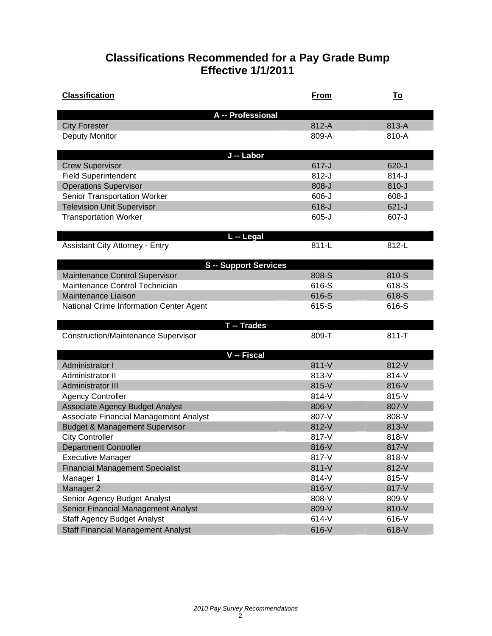## **Classifications Recommended for a Pay Grade Bump Effective 1/1/2011**

| <b>Classification</b>                      | From      | <u>To</u> |
|--------------------------------------------|-----------|-----------|
| A -- Professional                          |           |           |
| <b>City Forester</b>                       | 812-A     | 813-A     |
| <b>Deputy Monitor</b>                      | 809-A     | 810-A     |
|                                            |           |           |
| J -- Labor                                 |           |           |
| <b>Crew Supervisor</b>                     | $617 - J$ | $620 - J$ |
| <b>Field Superintendent</b>                | $812-J$   | $814 - J$ |
| <b>Operations Supervisor</b>               | $808-J$   | $810 - J$ |
| Senior Transportation Worker               | $606 - J$ | $608 - J$ |
| <b>Television Unit Supervisor</b>          | $618-J$   | $621-J$   |
| <b>Transportation Worker</b>               | $605 - J$ | 607-J     |
|                                            |           |           |
| L -- Legal                                 | $811-L$   | 812-L     |
| <b>Assistant City Attorney - Entry</b>     |           |           |
| <b>S</b> -- Support Services               |           |           |
| Maintenance Control Supervisor             | 808-S     | 810-S     |
| Maintenance Control Technician             | 616-S     | 618-S     |
| Maintenance Liaison                        | 616-S     | 618-S     |
| National Crime Information Center Agent    | 615-S     | 616-S     |
|                                            |           |           |
| T -- Trades                                |           |           |
| <b>Construction/Maintenance Supervisor</b> | 809-T     | $811 - T$ |
|                                            |           |           |
| V -- Fiscal                                |           |           |
| Administrator I                            | 811-V     | 812-V     |
| Administrator II                           | 813-V     | 814-V     |
| Administrator III                          | 815-V     | 816-V     |
| <b>Agency Controller</b>                   | 814-V     | 815-V     |
| <b>Associate Agency Budget Analyst</b>     | 806-V     | 807-V     |
| Associate Financial Management Analyst     | 807-V     | 808-V     |
| <b>Budget &amp; Management Supervisor</b>  | 812-V     | 813-V     |
| <b>City Controller</b>                     | 817-V     | 818-V     |
| <b>Department Controller</b>               | 816-V     | 817-V     |
| <b>Executive Manager</b>                   | 817-V     | 818-V     |
| <b>Financial Management Specialist</b>     | $811-V$   | 812-V     |
| Manager 1                                  | 814-V     | 815-V     |
| Manager 2                                  | 816-V     | 817-V     |
| Senior Agency Budget Analyst               | 808-V     | 809-V     |
| Senior Financial Management Analyst        | 809-V     | 810-V     |
| <b>Staff Agency Budget Analyst</b>         | 614-V     | 616-V     |
| <b>Staff Financial Management Analyst</b>  | 616-V     | 618-V     |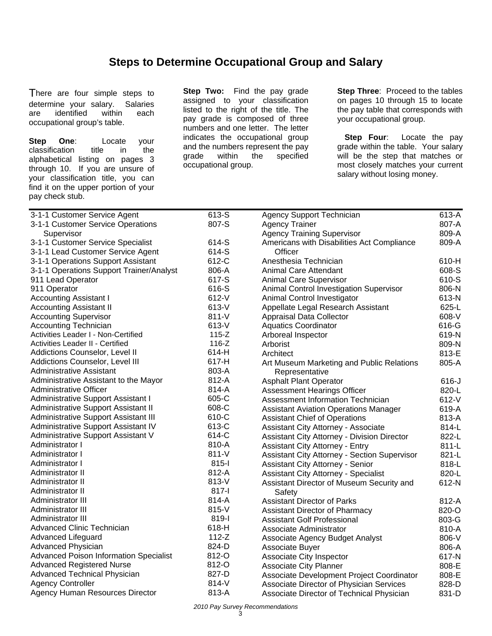### **Steps to Determine Occupational Group and Salary**

There are four simple steps to determine your salary. Salaries are identified within each occupational group's table.

**Step One**: Locate your classification title in the alphabetical listing on pages 3 through 10. If you are unsure of your classification title, you can find it on the upper portion of your pay check stub.

**Step Two:** Find the pay grade assigned to your classification listed to the right of the title. The pay grade is composed of three numbers and one letter. The letter indicates the occupational group and the numbers represent the pay grade within the specified occupational group.

**Step Three: Proceed to the tables** on pages 10 through 15 to locate the pay table that corresponds with your occupational group.

**Step Four:** Locate the pay grade within the table. Your salary will be the step that matches or most closely matches your current salary without losing money.

| 3-1-1 Customer Service Agent             | 613-S     | <b>Agency Support Technician</b>                    | 613-A   |
|------------------------------------------|-----------|-----------------------------------------------------|---------|
| 3-1-1 Customer Service Operations        | 807-S     | <b>Agency Trainer</b>                               | 807-A   |
| Supervisor                               |           | <b>Agency Training Supervisor</b>                   | 809-A   |
| 3-1-1 Customer Service Specialist        | 614-S     | Americans with Disabilities Act Compliance          | 809-A   |
| 3-1-1 Lead Customer Service Agent        | 614-S     | Officer                                             |         |
| 3-1-1 Operations Support Assistant       | 612-C     | Anesthesia Technician                               | 610-H   |
| 3-1-1 Operations Support Trainer/Analyst | 806-A     | <b>Animal Care Attendant</b>                        | 608-S   |
| 911 Lead Operator                        | 617-S     | <b>Animal Care Supervisor</b>                       | 610-S   |
| 911 Operator                             | 616-S     | Animal Control Investigation Supervisor             | 806-N   |
| <b>Accounting Assistant I</b>            | 612-V     | Animal Control Investigator                         | 613-N   |
| <b>Accounting Assistant II</b>           | 613-V     | Appellate Legal Research Assistant                  | 625-L   |
| <b>Accounting Supervisor</b>             | $811 - V$ | Appraisal Data Collector                            | 608-V   |
| <b>Accounting Technician</b>             | 613-V     | <b>Aquatics Coordinator</b>                         | 616-G   |
| Activities Leader I - Non-Certified      | $115 - Z$ | Arboreal Inspector                                  | 619-N   |
| <b>Activities Leader II - Certified</b>  | $116-Z$   | Arborist                                            | 809-N   |
| Addictions Counselor, Level II           | 614-H     | Architect                                           | 813-E   |
| Addictions Counselor, Level III          | 617-H     | Art Museum Marketing and Public Relations           | 805-A   |
| <b>Administrative Assistant</b>          | 803-A     | Representative                                      |         |
| Administrative Assistant to the Mayor    | 812-A     | <b>Asphalt Plant Operator</b>                       | $616-J$ |
| Administrative Officer                   | 814-A     | Assessment Hearings Officer                         | 820-L   |
| Administrative Support Assistant I       | 605-C     | Assessment Information Technician                   | 612-V   |
| Administrative Support Assistant II      | 608-C     | <b>Assistant Aviation Operations Manager</b>        | 619-A   |
| Administrative Support Assistant III     | 610-C     | <b>Assistant Chief of Operations</b>                | 813-A   |
| Administrative Support Assistant IV      | 613-C     | Assistant City Attorney - Associate                 | 814-L   |
| Administrative Support Assistant V       | 614-C     | <b>Assistant City Attorney - Division Director</b>  | 822-L   |
| Administrator I                          | 810-A     | <b>Assistant City Attorney - Entry</b>              | 811-L   |
| Administrator I                          | $811-V$   | <b>Assistant City Attorney - Section Supervisor</b> | 821-L   |
| Administrator I                          | 815-l     | Assistant City Attorney - Senior                    | 818-L   |
| Administrator II                         | 812-A     | <b>Assistant City Attorney - Specialist</b>         | 820-L   |
| Administrator II                         | 813-V     | Assistant Director of Museum Security and           | 612-N   |
| Administrator II                         | 817-l     | Safety                                              |         |
| Administrator III                        | 814-A     | <b>Assistant Director of Parks</b>                  | 812-A   |
| Administrator III                        | 815-V     | Assistant Director of Pharmacy                      | 820-O   |
| Administrator III                        | 819-l     | <b>Assistant Golf Professional</b>                  | 803-G   |
| <b>Advanced Clinic Technician</b>        | 618-H     | Associate Administrator                             | 810-A   |
| Advanced Lifeguard                       | $112-Z$   | Associate Agency Budget Analyst                     | 806-V   |
| Advanced Physician                       | 824-D     | Associate Buyer                                     | 806-A   |
| Advanced Poison Information Specialist   | 812-O     | Associate City Inspector                            | 617-N   |
| <b>Advanced Registered Nurse</b>         | 812-O     | <b>Associate City Planner</b>                       | 808-E   |
| Advanced Technical Physician             | 827-D     | Associate Development Project Coordinator           | 808-E   |
| <b>Agency Controller</b>                 | 814-V     | Associate Director of Physician Services            | 828-D   |
| Agency Human Resources Director          | 813-A     | Associate Director of Technical Physician           | 831-D   |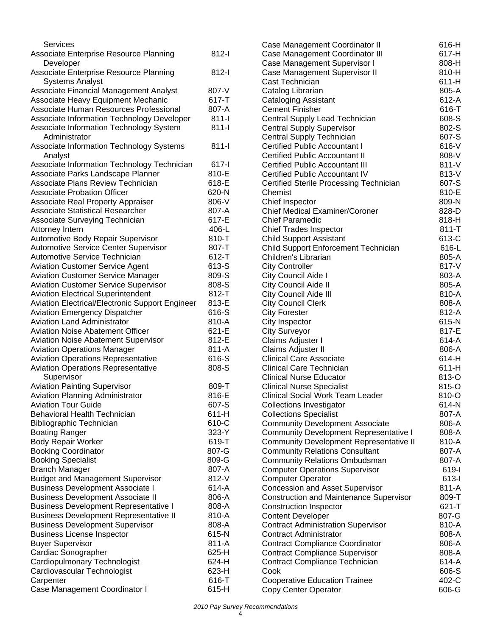| Services                                                                                 |                    | Case I             |
|------------------------------------------------------------------------------------------|--------------------|--------------------|
| Associate Enterprise Resource Planning<br>Developer                                      | 812-l              | Case I<br>Case I   |
| Associate Enterprise Resource Planning                                                   | $812 -$            | Case I             |
| <b>Systems Analyst</b>                                                                   |                    | Cast T             |
| Associate Financial Management Analyst                                                   | 807-V              | Catalo             |
| Associate Heavy Equipment Mechanic                                                       | 617-T              | Catalo             |
| Associate Human Resources Professional                                                   | 807-A              | Cemer              |
| Associate Information Technology Developer                                               | $811 -$            | Centra             |
| Associate Information Technology System                                                  | $811 -$            | Centra             |
| Administrator                                                                            |                    | Centra             |
| Associate Information Technology Systems                                                 | $811 -$            | Certifie           |
| Analyst                                                                                  |                    | Certifie           |
| Associate Information Technology Technician                                              | 617-l              | Certifie           |
| Associate Parks Landscape Planner                                                        | 810-E              | Certifie           |
| Associate Plans Review Technician                                                        | 618-E              | Certifie           |
| <b>Associate Probation Officer</b>                                                       | 620-N              | Chemi              |
| Associate Real Property Appraiser                                                        | 806-V              | Chief I            |
| <b>Associate Statistical Researcher</b>                                                  | 807-A              | Chief I            |
| Associate Surveying Technician                                                           | 617-E              | Chief I            |
| Attorney Intern                                                                          | 406-L              | Chief <sup>-</sup> |
| Automotive Body Repair Supervisor                                                        | 810-T              | Child S            |
| Automotive Service Center Supervisor                                                     | 807-T              | Child S            |
| Automotive Service Technician<br><b>Aviation Customer Service Agent</b>                  | $612 - T$<br>613-S | Childre            |
| <b>Aviation Customer Service Manager</b>                                                 | 809-S              | City C<br>City C   |
| <b>Aviation Customer Service Supervisor</b>                                              | 808-S              | City C             |
| <b>Aviation Electrical Superintendent</b>                                                | 812-T              | City C             |
| <b>Aviation Electrical/Electronic Support Engineer</b>                                   | 813-E              | City C             |
| Aviation Emergency Dispatcher                                                            | 616-S              | City Fo            |
| <b>Aviation Land Administrator</b>                                                       | 810-A              | City In            |
| <b>Aviation Noise Abatement Officer</b>                                                  | 621-E              | City S             |
| <b>Aviation Noise Abatement Supervisor</b>                                               | 812-E              | Claims             |
| <b>Aviation Operations Manager</b>                                                       | 811-A              | Claims             |
| <b>Aviation Operations Representative</b>                                                | 616-S              | Clinica            |
| <b>Aviation Operations Representative</b>                                                | 808-S              | Clinica            |
| Supervisor                                                                               |                    | Clinica            |
| <b>Aviation Painting Supervisor</b>                                                      | 809-T              | Clinica            |
| Aviation Planning Administrator                                                          | 816-E              | Clinica            |
| <b>Aviation Tour Guide</b>                                                               | 607-S              | Collec             |
| <b>Behavioral Health Technician</b>                                                      | 611-H              | Collec             |
| <b>Bibliographic Technician</b>                                                          | 610-C              | Comm               |
| <b>Boating Ranger</b>                                                                    | 323-Y              | Comm               |
| <b>Body Repair Worker</b>                                                                | 619-T              | Comm               |
| <b>Booking Coordinator</b>                                                               | 807-G              | Comm               |
| <b>Booking Specialist</b>                                                                | 809-G              | Comm               |
| <b>Branch Manager</b>                                                                    | 807-A              | Comp               |
| <b>Budget and Management Supervisor</b>                                                  | 812-V              | Comp               |
| <b>Business Development Associate I</b>                                                  | 614-A<br>806-A     | Conce              |
| <b>Business Development Associate II</b><br><b>Business Development Representative I</b> | 808-A              | Constr<br>Consti   |
| <b>Business Development Representative II</b>                                            | 810-A              | Conter             |
| <b>Business Development Supervisor</b>                                                   | 808-A              | Contra             |
| <b>Business License Inspector</b>                                                        | 615-N              | Contra             |
| <b>Buyer Supervisor</b>                                                                  | 811-A              | Contra             |
| Cardiac Sonographer                                                                      | 625-H              | Contra             |
| Cardiopulmonary Technologist                                                             | 624-H              | Contra             |
| Cardiovascular Technologist                                                              | 623-H              | Cook               |
| Carpenter                                                                                | 616-T              | Coope              |
| Case Management Coordinator I                                                            | 615-H              | Copy (             |
|                                                                                          |                    |                    |

|                                                | 616-H   |
|------------------------------------------------|---------|
| Case Management Coordinator II                 |         |
| Case Management Coordinator III                | 617-H   |
| Case Management Supervisor I                   | 808-H   |
| Case Management Supervisor II                  | 810-H   |
|                                                |         |
| Cast Technician                                | $611-H$ |
| Catalog Librarian                              | 805-A   |
| <b>Cataloging Assistant</b>                    | 612-A   |
| <b>Cement Finisher</b>                         | 616-T   |
|                                                |         |
| Central Supply Lead Technician                 | 608-S   |
| <b>Central Supply Supervisor</b>               | 802-S   |
| Central Supply Technician                      | 607-S   |
| <b>Certified Public Accountant I</b>           | 616-V   |
|                                                |         |
| <b>Certified Public Accountant II</b>          | 808-V   |
| <b>Certified Public Accountant III</b>         | 811-V   |
| <b>Certified Public Accountant IV</b>          | 813-V   |
| <b>Certified Sterile Processing Technician</b> | 607-S   |
| Chemist                                        | 810-E   |
|                                                |         |
| Chief Inspector                                | 809-N   |
| <b>Chief Medical Examiner/Coroner</b>          | 828-D   |
| <b>Chief Paramedic</b>                         | 818-H   |
| <b>Chief Trades Inspector</b>                  | 811-T   |
|                                                |         |
| <b>Child Support Assistant</b>                 | 613-C   |
| <b>Child Support Enforcement Technician</b>    | 616-L   |
| Children's Librarian                           | 805-A   |
| <b>City Controller</b>                         | 817-V   |
| City Council Aide I                            | 803-A   |
|                                                | 805-A   |
| City Council Aide II                           |         |
| City Council Aide III                          | 810-A   |
| <b>City Council Clerk</b>                      | 808-A   |
| <b>City Forester</b>                           | 812-A   |
| City Inspector                                 | 615-N   |
| <b>City Surveyor</b>                           | 817-E   |
|                                                |         |
| Claims Adjuster I                              | 614-A   |
| Claims Adjuster II                             | 806-A   |
| <b>Clinical Care Associate</b>                 | 614-H   |
| <b>Clinical Care Technician</b>                | 611-H   |
| <b>Clinical Nurse Educator</b>                 | 813-O   |
|                                                |         |
| <b>Clinical Nurse Specialist</b>               | 815-O   |
| <b>Clinical Social Work Team Leader</b>        | 810-O   |
| <b>Collections Investigator</b>                | 614-N   |
| <b>Collections Specialist</b>                  | 807-A   |
| <b>Community Development Associate</b>         | 806-A   |
| <b>Community Development Representative I</b>  | 808-A   |
|                                                |         |
| <b>Community Development Representative II</b> | 810-A   |
| <b>Community Relations Consultant</b>          | 807-A   |
| <b>Community Relations Ombudsman</b>           | 807-A   |
| <b>Computer Operations Supervisor</b>          | 619-l   |
| <b>Computer Operator</b>                       | 613-l   |
|                                                |         |
| <b>Concession and Asset Supervisor</b>         | 811-A   |
| <b>Construction and Maintenance Supervisor</b> | 809-T   |
| <b>Construction Inspector</b>                  | 621-T   |
| <b>Content Developer</b>                       | 807-G   |
| <b>Contract Administration Supervisor</b>      | 810-A   |
| <b>Contract Administrator</b>                  | 808-A   |
|                                                |         |
| <b>Contract Compliance Coordinator</b>         | 806-A   |
| <b>Contract Compliance Supervisor</b>          | 808-A   |
| Contract Compliance Technician                 | 614-A   |
| Cook                                           | 606-S   |
| <b>Cooperative Education Trainee</b>           | 402-C   |
|                                                | 606-G   |
| Copy Center Operator                           |         |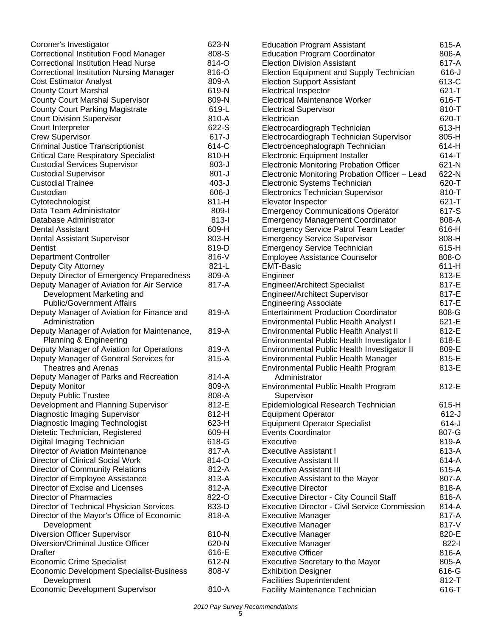| Coroner's Investigator                          | 623-N     | <b>Education Program Assistant</b>                   | 615-A     |
|-------------------------------------------------|-----------|------------------------------------------------------|-----------|
| <b>Correctional Institution Food Manager</b>    | 808-S     | <b>Education Program Coordinator</b>                 | 806-A     |
| <b>Correctional Institution Head Nurse</b>      | 814-O     | <b>Election Division Assistant</b>                   | 617-A     |
| <b>Correctional Institution Nursing Manager</b> | 816-O     | Election Equipment and Supply Technician             | $616-J$   |
| <b>Cost Estimator Analyst</b>                   | 809-A     | <b>Election Support Assistant</b>                    | 613-C     |
| <b>County Court Marshal</b>                     | 619-N     | <b>Electrical Inspector</b>                          | $621 - T$ |
| <b>County Court Marshal Supervisor</b>          | 809-N     | Electrical Maintenance Worker                        | 616-T     |
| <b>County Court Parking Magistrate</b>          | 619-L     | <b>Electrical Supervisor</b>                         | 810-T     |
| <b>Court Division Supervisor</b>                | 810-A     | Electrician                                          | 620-T     |
| Court Interpreter                               | 622-S     | Electrocardiograph Technician                        | 613-H     |
| <b>Crew Supervisor</b>                          | $617-J$   | Electrocardiograph Technician Supervisor             | 805-H     |
| <b>Criminal Justice Transcriptionist</b>        | 614-C     | Electroencephalograph Technician                     | 614-H     |
| <b>Critical Care Respiratory Specialist</b>     | 810-H     | <b>Electronic Equipment Installer</b>                | 614-T     |
| <b>Custodial Services Supervisor</b>            | 803-J     | <b>Electronic Monitoring Probation Officer</b>       | 621-N     |
| <b>Custodial Supervisor</b>                     | $801-J$   | Electronic Monitoring Probation Officer - Lead       | 622-N     |
| <b>Custodial Trainee</b>                        | $403 - J$ | Electronic Systems Technician                        | 620-T     |
| Custodian                                       | $606 - J$ | <b>Electronics Technician Supervisor</b>             | 810-T     |
| Cytotechnologist                                | 811-H     | Elevator Inspector                                   | 621-T     |
| Data Team Administrator                         | 809-l     | <b>Emergency Communications Operator</b>             | 617-S     |
| Database Administrator                          | $813 -$   | <b>Emergency Management Coordinator</b>              | 808-A     |
| Dental Assistant                                | 609-H     | <b>Emergency Service Patrol Team Leader</b>          | 616-H     |
| Dental Assistant Supervisor                     | 803-H     | <b>Emergency Service Supervisor</b>                  | 808-H     |
| Dentist                                         | 819-D     | <b>Emergency Service Technician</b>                  | 615-H     |
| <b>Department Controller</b>                    | 816-V     | <b>Employee Assistance Counselor</b>                 | 808-O     |
| Deputy City Attorney                            | 821-L     | <b>EMT-Basic</b>                                     | $611-H$   |
| Deputy Director of Emergency Preparedness       | 809-A     | Engineer                                             | 813-E     |
| Deputy Manager of Aviation for Air Service      | 817-A     | <b>Engineer/Architect Specialist</b>                 | 817-E     |
| Development Marketing and                       |           | <b>Engineer/Architect Supervisor</b>                 | 817-E     |
| <b>Public/Government Affairs</b>                |           | <b>Engineering Associate</b>                         | 617-E     |
| Deputy Manager of Aviation for Finance and      | 819-A     | <b>Entertainment Production Coordinator</b>          | 808-G     |
| Administration                                  |           | <b>Environmental Public Health Analyst I</b>         | 621-E     |
| Deputy Manager of Aviation for Maintenance,     | 819-A     | Environmental Public Health Analyst II               | 812-E     |
| Planning & Engineering                          |           | Environmental Public Health Investigator I           | 618-E     |
| Deputy Manager of Aviation for Operations       | 819-A     | Environmental Public Health Investigator II          | 809-E     |
| Deputy Manager of General Services for          | 815-A     | <b>Environmental Public Health Manager</b>           | 815-E     |
| <b>Theatres and Arenas</b>                      |           | <b>Environmental Public Health Program</b>           | 813-E     |
| Deputy Manager of Parks and Recreation          | 814-A     | Administrator                                        |           |
| Deputy Monitor                                  | 809-A     | Environmental Public Health Program                  | 812-E     |
| <b>Deputy Public Trustee</b>                    | 808-A     | Supervisor                                           |           |
| Development and Planning Supervisor             | 812-E     | Epidemiological Research Technician                  | 615-H     |
| Diagnostic Imaging Supervisor                   | 812-H     | <b>Equipment Operator</b>                            | $612-J$   |
| Diagnostic Imaging Technologist                 | 623-H     | <b>Equipment Operator Specialist</b>                 | $614-J$   |
| Dietetic Technician, Registered                 | 609-H     | <b>Events Coordinator</b>                            | 807-G     |
| Digital Imaging Technician                      | 618-G     | Executive                                            | 819-A     |
| Director of Aviation Maintenance                | 817-A     | <b>Executive Assistant I</b>                         | 613-A     |
| Director of Clinical Social Work                | 814-O     | <b>Executive Assistant II</b>                        | 614-A     |
| <b>Director of Community Relations</b>          | 812-A     | <b>Executive Assistant III</b>                       | 615-A     |
| Director of Employee Assistance                 | 813-A     | Executive Assistant to the Mayor                     | 807-A     |
| Director of Excise and Licenses                 | 812-A     | <b>Executive Director</b>                            | 818-A     |
| Director of Pharmacies                          | 822-O     | <b>Executive Director - City Council Staff</b>       | 816-A     |
| Director of Technical Physician Services        | 833-D     | <b>Executive Director - Civil Service Commission</b> | 814-A     |
| Director of the Mayor's Office of Economic      | 818-A     | <b>Executive Manager</b>                             | 817-A     |
| Development                                     |           | <b>Executive Manager</b>                             | 817-V     |
| <b>Diversion Officer Supervisor</b>             | 810-N     | <b>Executive Manager</b>                             | 820-E     |
| Diversion/Criminal Justice Officer              | 620-N     | <b>Executive Manager</b>                             | 822-l     |
| <b>Drafter</b>                                  | 616-E     | <b>Executive Officer</b>                             | 816-A     |
| <b>Economic Crime Specialist</b>                | 612-N     | <b>Executive Secretary to the Mayor</b>              | 805-A     |
| <b>Economic Development Specialist-Business</b> | 808-V     | <b>Exhibition Designer</b>                           | 616-G     |
| Development                                     |           | <b>Facilities Superintendent</b>                     | 812-T     |
| <b>Economic Development Supervisor</b>          | 810-A     | <b>Facility Maintenance Technician</b>               | 616-T     |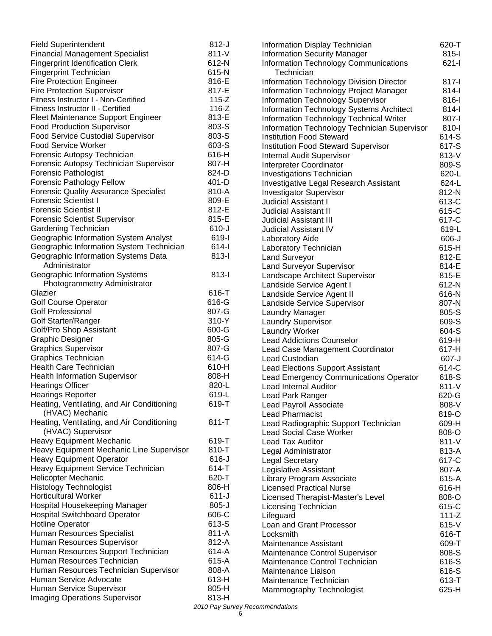| <b>Field Superintendent</b>                  | $812-J$   | Information Display Technician                         | 620-T     |
|----------------------------------------------|-----------|--------------------------------------------------------|-----------|
| <b>Financial Management Specialist</b>       | 811-V     | <b>Information Security Manager</b>                    | $815 -$   |
| <b>Fingerprint Identification Clerk</b>      | 612-N     | Information Technology Communications                  | $621 -$   |
| <b>Fingerprint Technician</b>                | 615-N     | Technician                                             |           |
| <b>Fire Protection Engineer</b>              | 816-E     | Information Technology Division Director               | 817-l     |
| <b>Fire Protection Supervisor</b>            | 817-E     | Information Technology Project Manager                 | $814-I$   |
| Fitness Instructor I - Non-Certified         | $115 - Z$ | <b>Information Technology Supervisor</b>               | 816-l     |
| Fitness Instructor II - Certified            | $116-Z$   | <b>Information Technology Systems Architect</b>        | $814-I$   |
| Fleet Maintenance Support Engineer           | 813-E     | Information Technology Technical Writer                | 807-l     |
| <b>Food Production Supervisor</b>            | 803-S     | Information Technology Technician Supervisor           | 810-l     |
| <b>Food Service Custodial Supervisor</b>     | 803-S     | <b>Institution Food Steward</b>                        | 614-S     |
| <b>Food Service Worker</b>                   | 603-S     | <b>Institution Food Steward Supervisor</b>             | 617-S     |
| Forensic Autopsy Technician                  | 616-H     | <b>Internal Audit Supervisor</b>                       | 813-V     |
| Forensic Autopsy Technician Supervisor       | 807-H     | Interpreter Coordinator                                | 809-S     |
| Forensic Pathologist                         | 824-D     | <b>Investigations Technician</b>                       | 620-L     |
| <b>Forensic Pathology Fellow</b>             | 401-D     | Investigative Legal Research Assistant                 | 624-L     |
| <b>Forensic Quality Assurance Specialist</b> | 810-A     |                                                        | 812-N     |
| <b>Forensic Scientist I</b>                  | 809-E     | <b>Investigator Supervisor</b><br>Judicial Assistant I | 613-C     |
| <b>Forensic Scientist II</b>                 | 812-E     |                                                        |           |
|                                              | 815-E     | <b>Judicial Assistant II</b>                           | 615-C     |
| <b>Forensic Scientist Supervisor</b>         | $610-J$   | Judicial Assistant III                                 | 617-C     |
| Gardening Technician                         |           | Judicial Assistant IV                                  | 619-L     |
| Geographic Information System Analyst        | 619-l     | Laboratory Aide                                        | $606 - J$ |
| Geographic Information System Technician     | $614-I$   | Laboratory Technician                                  | 615-H     |
| Geographic Information Systems Data          | $813 -$   | <b>Land Surveyor</b>                                   | 812-E     |
| Administrator                                |           | <b>Land Surveyor Supervisor</b>                        | 814-E     |
| Geographic Information Systems               | $813 -$   | Landscape Architect Supervisor                         | 815-E     |
| Photogrammetry Administrator                 |           | Landside Service Agent I                               | 612-N     |
| Glazier                                      | 616-T     | Landside Service Agent II                              | 616-N     |
| <b>Golf Course Operator</b>                  | 616-G     | Landside Service Supervisor                            | 807-N     |
| <b>Golf Professional</b>                     | 807-G     | Laundry Manager                                        | 805-S     |
| Golf Starter/Ranger                          | 310-Y     | <b>Laundry Supervisor</b>                              | 609-S     |
| Golf/Pro Shop Assistant                      | 600-G     | <b>Laundry Worker</b>                                  | 604-S     |
| <b>Graphic Designer</b>                      | 805-G     | <b>Lead Addictions Counselor</b>                       | 619-H     |
| <b>Graphics Supervisor</b>                   | 807-G     | Lead Case Management Coordinator                       | 617-H     |
| <b>Graphics Technician</b>                   | 614-G     | Lead Custodian                                         | $607 - J$ |
| Health Care Technician                       | 610-H     | <b>Lead Elections Support Assistant</b>                | 614-C     |
| <b>Health Information Supervisor</b>         | 808-H     | Lead Emergency Communications Operator                 | 618-S     |
| <b>Hearings Officer</b>                      | 820-L     | Lead Internal Auditor                                  | 811-V     |
| <b>Hearings Reporter</b>                     | 619-L     | Lead Park Ranger                                       | 620-G     |
| Heating, Ventilating, and Air Conditioning   | 619-T     | Lead Payroll Associate                                 | 808-V     |
| (HVAC) Mechanic                              |           | <b>Lead Pharmacist</b>                                 | 819-O     |
| Heating, Ventilating, and Air Conditioning   | $811 - T$ | Lead Radiographic Support Technician                   | 609-H     |
| (HVAC) Supervisor                            |           | <b>Lead Social Case Worker</b>                         | 808-O     |
| <b>Heavy Equipment Mechanic</b>              | 619-T     | Lead Tax Auditor                                       | 811-V     |
| Heavy Equipment Mechanic Line Supervisor     | 810-T     | Legal Administrator                                    | 813-A     |
| <b>Heavy Equipment Operator</b>              | $616-J$   | <b>Legal Secretary</b>                                 | 617-C     |
| <b>Heavy Equipment Service Technician</b>    | 614-T     | Legislative Assistant                                  | 807-A     |
| <b>Helicopter Mechanic</b>                   | 620-T     | Library Program Associate                              | 615-A     |
| <b>Histology Technologist</b>                | 806-H     | <b>Licensed Practical Nurse</b>                        | 616-H     |
| <b>Horticultural Worker</b>                  | $611-J$   | Licensed Therapist-Master's Level                      | 808-O     |
| Hospital Housekeeping Manager                | $805 - J$ | Licensing Technician                                   | 615-C     |
| <b>Hospital Switchboard Operator</b>         | 606-C     |                                                        | $111-Z$   |
| <b>Hotline Operator</b>                      | 613-S     | Lifeguard                                              |           |
| Human Resources Specialist                   | 811-A     | Loan and Grant Processor                               | $615-V$   |
|                                              | 812-A     | Locksmith                                              | 616-T     |
| Human Resources Supervisor                   |           | Maintenance Assistant                                  | 609-T     |
| Human Resources Support Technician           | 614-A     | Maintenance Control Supervisor                         | 808-S     |
| Human Resources Technician                   | 615-A     | Maintenance Control Technician                         | 616-S     |
| Human Resources Technician Supervisor        | 808-A     | Maintenance Liaison                                    | 616-S     |
| Human Service Advocate                       | 613-H     | Maintenance Technician                                 | 613-T     |
| Human Service Supervisor                     | 805-H     | Mammography Technologist                               | 625-H     |
| <b>Imaging Operations Supervisor</b>         | 813-H     |                                                        |           |

*2010 Pay Survey Recommendations*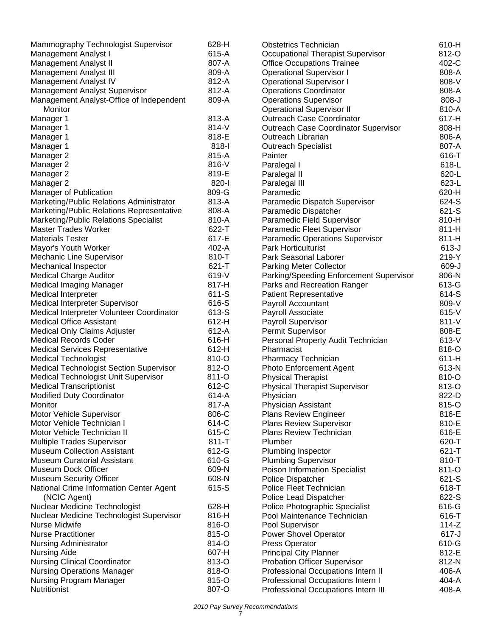| Mammography Technologist Supervisor       | 628-H     | <b>Obstetrics Technician</b>                       | 610-H     |
|-------------------------------------------|-----------|----------------------------------------------------|-----------|
| <b>Management Analyst I</b>               | 615-A     | Occupational Therapist Supervisor                  | 812-O     |
| <b>Management Analyst II</b>              | 807-A     | <b>Office Occupations Trainee</b>                  | 402-C     |
| Management Analyst III                    | 809-A     | <b>Operational Supervisor I</b>                    | 808-A     |
| Management Analyst IV                     | 812-A     | <b>Operational Supervisor I</b>                    | 808-V     |
| Management Analyst Supervisor             | 812-A     | <b>Operations Coordinator</b>                      | 808-A     |
| Management Analyst-Office of Independent  | 809-A     | <b>Operations Supervisor</b>                       | $808-J$   |
| Monitor                                   |           | <b>Operational Supervisor II</b>                   | 810-A     |
| Manager 1                                 | 813-A     | <b>Outreach Case Coordinator</b>                   | 617-H     |
| Manager 1                                 | 814-V     | <b>Outreach Case Coordinator Supervisor</b>        | 808-H     |
| Manager 1                                 | 818-E     | Outreach Librarian                                 | 806-A     |
| Manager 1                                 | 818-l     | <b>Outreach Specialist</b>                         | 807-A     |
| Manager 2                                 | 815-A     | Painter                                            | 616-T     |
| Manager 2                                 | 816-V     | Paralegal I                                        | 618-L     |
| Manager 2                                 | 819-E     | Paralegal II                                       | 620-L     |
| Manager 2                                 | 820-l     | Paralegal III                                      | 623-L     |
| Manager of Publication                    | 809-G     | Paramedic                                          | 620-H     |
| Marketing/Public Relations Administrator  | 813-A     | Paramedic Dispatch Supervisor                      | 624-S     |
| Marketing/Public Relations Representative | 808-A     |                                                    | 621-S     |
|                                           | 810-A     | Paramedic Dispatcher<br>Paramedic Field Supervisor | 810-H     |
| Marketing/Public Relations Specialist     |           |                                                    |           |
| Master Trades Worker                      | 622-T     | Paramedic Fleet Supervisor                         | 811-H     |
| <b>Materials Tester</b>                   | 617-E     | <b>Paramedic Operations Supervisor</b>             | $811-H$   |
| Mayor's Youth Worker                      | 402-A     | <b>Park Horticulturist</b>                         | $613-J$   |
| Mechanic Line Supervisor                  | 810-T     | Park Seasonal Laborer                              | 219-Y     |
| Mechanical Inspector                      | $621 - T$ | <b>Parking Meter Collector</b>                     | 609-J     |
| <b>Medical Charge Auditor</b>             | 619-V     | Parking/Speeding Enforcement Supervisor            | 806-N     |
| Medical Imaging Manager                   | 817-H     | Parks and Recreation Ranger                        | 613-G     |
| Medical Interpreter                       | 611-S     | <b>Patient Representative</b>                      | 614-S     |
| Medical Interpreter Supervisor            | 616-S     | Payroll Accountant                                 | 809-V     |
| Medical Interpreter Volunteer Coordinator | 613-S     | Payroll Associate                                  | $615-V$   |
| <b>Medical Office Assistant</b>           | 612-H     | Payroll Supervisor                                 | 811-V     |
| <b>Medical Only Claims Adjuster</b>       | 612-A     | Permit Supervisor                                  | 808-E     |
| <b>Medical Records Coder</b>              | 616-H     | Personal Property Audit Technician                 | 613-V     |
| <b>Medical Services Representative</b>    | 612-H     | Pharmacist                                         | 818-O     |
| <b>Medical Technologist</b>               | 810-O     | Pharmacy Technician                                | 611-H     |
| Medical Technologist Section Supervisor   | 812-O     | <b>Photo Enforcement Agent</b>                     | 613-N     |
| Medical Technologist Unit Supervisor      | 811-O     | <b>Physical Therapist</b>                          | 810-O     |
| <b>Medical Transcriptionist</b>           | 612-C     | <b>Physical Therapist Supervisor</b>               | 813-O     |
| <b>Modified Duty Coordinator</b>          | 614-A     | Physician                                          | 822-D     |
| Monitor                                   | 817-A     | <b>Physician Assistant</b>                         | 815-O     |
| Motor Vehicle Supervisor                  | 806-C     | <b>Plans Review Engineer</b>                       | 816-E     |
| Motor Vehicle Technician I                | 614-C     | <b>Plans Review Supervisor</b>                     | 810-E     |
| Motor Vehicle Technician II               | 615-C     | <b>Plans Review Technician</b>                     | 616-E     |
| <b>Multiple Trades Supervisor</b>         | $811 - T$ | Plumber                                            | 620-T     |
| <b>Museum Collection Assistant</b>        | 612-G     | Plumbing Inspector                                 | 621-T     |
| <b>Museum Curatorial Assistant</b>        | 610-G     | <b>Plumbing Supervisor</b>                         | 810-T     |
| Museum Dock Officer                       | 609-N     | <b>Poison Information Specialist</b>               | 811-O     |
| <b>Museum Security Officer</b>            | 608-N     | Police Dispatcher                                  | 621-S     |
| National Crime Information Center Agent   | 615-S     | Police Fleet Technician                            | 618-T     |
| (NCIC Agent)                              |           | Police Lead Dispatcher                             | 622-S     |
| Nuclear Medicine Technologist             | 628-H     | Police Photographic Specialist                     | 616-G     |
| Nuclear Medicine Technologist Supervisor  | 816-H     | Pool Maintenance Technician                        | 616-T     |
| Nurse Midwife                             | 816-O     | Pool Supervisor                                    | $114-Z$   |
| <b>Nurse Practitioner</b>                 | 815-O     | <b>Power Shovel Operator</b>                       | $617 - J$ |
| <b>Nursing Administrator</b>              | 814-O     | <b>Press Operator</b>                              | 610-G     |
| <b>Nursing Aide</b>                       | 607-H     | <b>Principal City Planner</b>                      | 812-E     |
| <b>Nursing Clinical Coordinator</b>       | 813-O     | <b>Probation Officer Supervisor</b>                | 812-N     |
| <b>Nursing Operations Manager</b>         | 818-O     | Professional Occupations Intern II                 | 406-A     |
| <b>Nursing Program Manager</b>            | 815-O     | Professional Occupations Intern I                  | 404-A     |
| Nutritionist                              | 807-O     | Professional Occupations Intern III                | 408-A     |
|                                           |           |                                                    |           |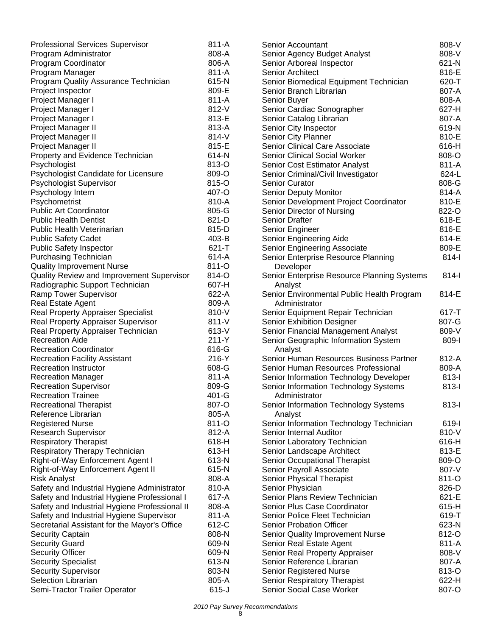| <b>Professional Services Supervisor</b>          | 811-A          |
|--------------------------------------------------|----------------|
| Program Administrator                            | 808-A          |
| Program Coordinator                              | 806-A          |
| Program Manager                                  | 811-A          |
| Program Quality Assurance Technician             | 615-N          |
| Project Inspector                                | 809-E          |
| Project Manager I                                | 811-A          |
| Project Manager I                                | 812-V          |
| Project Manager I                                | 813-E          |
| Project Manager II                               | 813-A          |
| Project Manager II                               | 814-V          |
| Project Manager II                               | 815-E          |
| Property and Evidence Technician                 | 614-N          |
| Psychologist                                     | 813-O          |
| Psychologist Candidate for Licensure             | 809-O          |
| Psychologist Supervisor                          | 815-O          |
| Psychology Intern                                | 407-O          |
| Psychometrist                                    | 810-A          |
| <b>Public Art Coordinator</b>                    | 805-G          |
| <b>Public Health Dentist</b>                     | 821-D          |
| Public Health Veterinarian                       | 815-D          |
| <b>Public Safety Cadet</b>                       | 403-B          |
| <b>Public Safety Inspector</b>                   | $621 - T$      |
| <b>Purchasing Technician</b>                     | 614-A          |
| <b>Quality Improvement Nurse</b>                 | 811-O          |
| Quality Review and Improvement Supervisor        | 814-O          |
| Radiographic Support Technician                  | 607-H          |
| Ramp Tower Supervisor                            | 622-A          |
| <b>Real Estate Agent</b>                         | 809-A          |
| <b>Real Property Appraiser Specialist</b>        | 810-V          |
| Real Property Appraiser Supervisor               | $811 - V$      |
| Real Property Appraiser Technician               | 613-V          |
| <b>Recreation Aide</b>                           | 211-Y          |
| <b>Recreation Coordinator</b>                    | 616-G          |
| <b>Recreation Facility Assistant</b>             | 216-Y          |
| <b>Recreation Instructor</b>                     | 608-G          |
| <b>Recreation Manager</b>                        | 811-A          |
| <b>Recreation Supervisor</b>                     | 809-G          |
| <b>Recreation Trainee</b>                        | 401-G          |
| <b>Recreational Therapist</b>                    | 807-O          |
| Reference Librarian                              | 805-A          |
| <b>Registered Nurse</b>                          | 811-O          |
| <b>Research Supervisor</b>                       | 812-A          |
| <b>Respiratory Therapist</b>                     | 618-H          |
| Respiratory Therapy Technician                   | 613-H          |
| Right-of-Way Enforcement Agent I                 | 613-N          |
| Right-of-Way Enforcement Agent II                | 615-N          |
| <b>Risk Analyst</b>                              | 808-A          |
| Safety and Industrial Hygiene Administrator      | 810-A          |
| Safety and Industrial Hygiene Professional I     | 617-A          |
| Safety and Industrial Hygiene Professional II    | 808-A          |
| Safety and Industrial Hygiene Supervisor         | 811-A          |
| Secretarial Assistant for the Mayor's Office     | 612-C          |
| <b>Security Captain</b>                          | 808-N          |
| <b>Security Guard</b><br><b>Security Officer</b> | 609-N<br>609-N |
| <b>Security Specialist</b>                       | 613-N          |
| <b>Security Supervisor</b>                       | 803-N          |
| <b>Selection Librarian</b>                       | 805-A          |
| Semi-Tractor Trailer Operator                    | $615 - J$      |

| Senior Accountant                                        | 808-V |
|----------------------------------------------------------|-------|
| Senior Agency Budget Analyst                             | 808-V |
| Senior Arboreal Inspector                                | 621-N |
| <b>Senior Architect</b>                                  | 816-E |
| Senior Biomedical Equipment Technician                   | 620-T |
| Senior Branch Librarian                                  | 807-A |
| Senior Buyer                                             | 808-A |
| Senior Cardiac Sonographer                               | 627-H |
| Senior Catalog Librarian                                 | 807-A |
| Senior City Inspector                                    | 619-N |
| Senior City Planner                                      | 810-E |
| Senior Clinical Care Associate                           | 616-H |
| <b>Senior Clinical Social Worker</b>                     | 808-O |
| Senior Cost Estimator Analyst                            | 811-A |
| Senior Criminal/Civil Investigator                       | 624-L |
| <b>Senior Curator</b>                                    | 808-G |
| Senior Deputy Monitor                                    | 814-A |
| Senior Development Project Coordinator                   | 810-E |
| Senior Director of Nursing                               | 822-O |
| <b>Senior Drafter</b>                                    | 618-E |
| Senior Engineer                                          | 816-E |
| Senior Engineering Aide                                  | 614-E |
| Senior Engineering Associate                             | 809-E |
| Senior Enterprise Resource Planning                      | 814-l |
| Developer<br>Senior Enterprise Resource Planning Systems | 814-l |
| Analyst                                                  |       |
| Senior Environmental Public Health Program               | 814-E |
| Administrator                                            |       |
| Senior Equipment Repair Technician                       | 617-T |
| <b>Senior Exhibition Designer</b>                        | 807-G |
| Senior Financial Management Analyst                      | 809-V |
| Senior Geographic Information System                     | 809-l |
| Analyst                                                  |       |
| Senior Human Resources Business Partner                  | 812-A |
| Senior Human Resources Professional                      | 809-A |
| Senior Information Technology Developer                  | 813-l |
| Senior Information Technology Systems                    | 813-l |
| Administrator                                            |       |
| Senior Information Technology Systems                    | 813-l |
| Analyst                                                  |       |
| Senior Information Technology Technician                 | 619-l |
| Senior Internal Auditor                                  | 810-V |
| Senior Laboratory Technician                             | 616-H |
| Senior Landscape Architect                               | 813-E |
| Senior Occupational Therapist                            | 809-O |
| Senior Payroll Associate                                 | 807-V |
| Senior Physical Therapist                                | 811-O |
| Senior Physician                                         | 826-D |
| Senior Plans Review Technician                           | 621-E |
| Senior Plus Case Coordinator                             | 615-H |
| Senior Police Fleet Technician                           | 619-T |
| <b>Senior Probation Officer</b>                          | 623-N |
| <b>Senior Quality Improvement Nurse</b>                  | 812-O |
| Senior Real Estate Agent                                 | 811-A |
| Senior Real Property Appraiser                           | 808-V |
| Senior Reference Librarian                               | 807-A |
| <b>Senior Registered Nurse</b>                           | 813-O |
| Senior Respiratory Therapist                             | 622-H |
| Senior Social Case Worker                                | 807-O |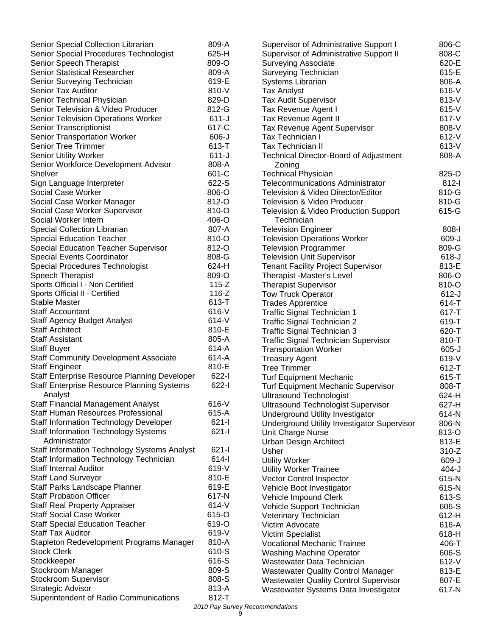| Senior Special Collection Librarian                 | 809-A     |
|-----------------------------------------------------|-----------|
| Senior Special Procedures Technologist              | 625-H     |
| Senior Speech Therapist                             | 809-O     |
| Senior Statistical Researcher                       | 809-A     |
| Senior Surveying Technician                         | 619-E     |
| <b>Senior Tax Auditor</b>                           | 810-V     |
| Senior Technical Physician                          | 829-D     |
| Senior Television & Video Producer                  | 812-G     |
| Senior Television Operations Worker                 | $611 - J$ |
| <b>Senior Transcriptionist</b>                      | 617-C     |
| <b>Senior Transportation Worker</b>                 | 606-J     |
| <b>Senior Tree Trimmer</b>                          | 613-T     |
| <b>Senior Utility Worker</b>                        | $611 - J$ |
| Senior Workforce Development Advisor                | 808-A     |
| <b>Shelver</b>                                      | 601-C     |
| Sign Language Interpreter                           | 622-S     |
| <b>Social Case Worker</b>                           | 806-O     |
| Social Case Worker Manager                          | 812-O     |
| Social Case Worker Supervisor                       | 810-O     |
| Social Worker Intern                                | 406-O     |
| Special Collection Librarian                        | 807-A     |
| <b>Special Education Teacher</b>                    | 810-O     |
| <b>Special Education Teacher Supervisor</b>         | 812-O     |
| <b>Special Events Coordinator</b>                   | 808-G     |
| <b>Special Procedures Technologist</b>              | 624-H     |
| <b>Speech Therapist</b>                             | 809-O     |
| Sports Official I - Non Certified                   | $115-Z$   |
| Sports Official II - Certified                      | $116 - Z$ |
| <b>Stable Master</b>                                | 613-T     |
| <b>Staff Accountant</b>                             | 616-V     |
| Staff Agency Budget Analyst                         | 614-V     |
| <b>Staff Architect</b>                              | 810-E     |
| <b>Staff Assistant</b>                              | 805-A     |
| <b>Staff Buyer</b>                                  | 614-A     |
| <b>Staff Community Development Associate</b>        | 614-A     |
| <b>Staff Engineer</b>                               | 810-E     |
| <b>Staff Enterprise Resource Planning Developer</b> | $622 - 1$ |
| <b>Staff Enterprise Resource Planning Systems</b>   | $622 - 1$ |
| Analyst                                             |           |
| <b>Staff Financial Management Analyst</b>           | 616-V     |
| Staff Human Resources Professional                  | 615-A     |
| <b>Staff Information Technology Developer</b>       | $621 - 1$ |
| <b>Staff Information Technology Systems</b>         | 621-l     |
| Administrator                                       |           |
| <b>Staff Information Technology Systems Analyst</b> | $621 -$   |
| Staff Information Technology Technician             | 614-l     |
| <b>Staff Internal Auditor</b>                       | 619-V     |
| <b>Staff Land Surveyor</b>                          | 810-E     |
| Staff Parks Landscape Planner                       | 619-E     |
| <b>Staff Probation Officer</b>                      | 617-N     |
| <b>Staff Real Property Appraiser</b>                | 614-V     |
| <b>Staff Social Case Worker</b>                     | 615-O     |
| <b>Staff Special Education Teacher</b>              | 619-O     |
| <b>Staff Tax Auditor</b>                            | 619-V     |
| Stapleton Redevelopment Programs Manager            | 810-A     |
| <b>Stock Clerk</b>                                  | 610-S     |
| Stockkeeper                                         | 616-S     |
| Stockroom Manager                                   | 809-S     |
| Stockroom Supervisor                                | 808-S     |
| <b>Strategic Advisor</b>                            | 813-A     |
| Superintendent of Radio Communications              | 812-T     |

| <b>Supervisor of Administrative Support I</b><br><b>Supervisor of Administrative Support II</b><br><b>Surveying Associate</b><br>Surveying Technician<br><b>Systems Librarian</b><br><b>Tax Analyst</b><br><b>Tax Audit Supervisor</b><br>Tax Revenue Agent I<br>Tax Revenue Agent II<br>Tax Revenue Agent Supervisor<br>Tax Technician I<br><b>Tax Technician II</b><br>Technical Director-Board of Adjustment | 806-C<br>808-C<br>620-E<br>615-E<br>806-A<br>616-V<br>813-V<br>615-V<br>617-V<br>808-V<br>612-V<br>613-V<br>808-A |
|-----------------------------------------------------------------------------------------------------------------------------------------------------------------------------------------------------------------------------------------------------------------------------------------------------------------------------------------------------------------------------------------------------------------|-------------------------------------------------------------------------------------------------------------------|
| Zoning<br><b>Technical Physician</b>                                                                                                                                                                                                                                                                                                                                                                            | 825-D                                                                                                             |
| <b>Telecommunications Administrator</b>                                                                                                                                                                                                                                                                                                                                                                         | $812-I$                                                                                                           |
| Television & Video Director/Editor                                                                                                                                                                                                                                                                                                                                                                              | 810-G                                                                                                             |
| <b>Television &amp; Video Producer</b><br>Television & Video Production Support                                                                                                                                                                                                                                                                                                                                 | 810-G<br>615-G                                                                                                    |
| Technician                                                                                                                                                                                                                                                                                                                                                                                                      |                                                                                                                   |
| <b>Television Engineer</b>                                                                                                                                                                                                                                                                                                                                                                                      | $808-I$                                                                                                           |
| <b>Television Operations Worker</b>                                                                                                                                                                                                                                                                                                                                                                             | 609-J                                                                                                             |
| <b>Television Programmer</b>                                                                                                                                                                                                                                                                                                                                                                                    | 809-G                                                                                                             |
| <b>Television Unit Supervisor</b>                                                                                                                                                                                                                                                                                                                                                                               | $618 - J$                                                                                                         |
| <b>Tenant Facility Project Supervisor</b><br>Therapist -Master's Level                                                                                                                                                                                                                                                                                                                                          | 813-E<br>806-O                                                                                                    |
| <b>Therapist Supervisor</b>                                                                                                                                                                                                                                                                                                                                                                                     | 810-O                                                                                                             |
| <b>Tow Truck Operator</b>                                                                                                                                                                                                                                                                                                                                                                                       | $612-J$                                                                                                           |
| <b>Trades Apprentice</b>                                                                                                                                                                                                                                                                                                                                                                                        | 614-T                                                                                                             |
| <b>Traffic Signal Technician 1</b>                                                                                                                                                                                                                                                                                                                                                                              | 617-T                                                                                                             |
| <b>Traffic Signal Technician 2</b>                                                                                                                                                                                                                                                                                                                                                                              | 619-T                                                                                                             |
| Traffic Signal Technician 3                                                                                                                                                                                                                                                                                                                                                                                     | 620-T<br>810-T                                                                                                    |
| <b>Traffic Signal Technician Supervisor</b><br><b>Transportation Worker</b>                                                                                                                                                                                                                                                                                                                                     | $605 - J$                                                                                                         |
| <b>Treasury Agent</b>                                                                                                                                                                                                                                                                                                                                                                                           | 619-V                                                                                                             |
| <b>Tree Trimmer</b>                                                                                                                                                                                                                                                                                                                                                                                             | 612-T                                                                                                             |
| <b>Turf Equipment Mechanic</b>                                                                                                                                                                                                                                                                                                                                                                                  | 615-T                                                                                                             |
| <b>Turf Equipment Mechanic Supervisor</b>                                                                                                                                                                                                                                                                                                                                                                       | 808-T                                                                                                             |
| <b>Ultrasound Technologist</b>                                                                                                                                                                                                                                                                                                                                                                                  | 624-H                                                                                                             |
| <b>Ultrasound Technologist Supervisor</b>                                                                                                                                                                                                                                                                                                                                                                       | 627-H<br>614-N                                                                                                    |
| Underground Utility Investigator<br>Underground Utility Investigator Supervisor                                                                                                                                                                                                                                                                                                                                 | 806-N                                                                                                             |
| Unit Charge Nurse                                                                                                                                                                                                                                                                                                                                                                                               | 813-O                                                                                                             |
| <b>Urban Design Architect</b>                                                                                                                                                                                                                                                                                                                                                                                   | 813-E                                                                                                             |
| Usher                                                                                                                                                                                                                                                                                                                                                                                                           | $310-Z$                                                                                                           |
| <b>Utility Worker</b>                                                                                                                                                                                                                                                                                                                                                                                           | 609-J                                                                                                             |
| <b>Utility Worker Trainee</b>                                                                                                                                                                                                                                                                                                                                                                                   | $404 - J$                                                                                                         |
| <b>Vector Control Inspector</b><br>Vehicle Boot Investigator                                                                                                                                                                                                                                                                                                                                                    | 615-N<br>615-N                                                                                                    |
| Vehicle Impound Clerk                                                                                                                                                                                                                                                                                                                                                                                           | 613-S                                                                                                             |
| Vehicle Support Technician                                                                                                                                                                                                                                                                                                                                                                                      | 606-S                                                                                                             |
| Veterinary Technician                                                                                                                                                                                                                                                                                                                                                                                           | 612-H                                                                                                             |
| Victim Advocate                                                                                                                                                                                                                                                                                                                                                                                                 | 616-A                                                                                                             |
| Victim Specialist                                                                                                                                                                                                                                                                                                                                                                                               | 618-H                                                                                                             |
| <b>Vocational Mechanic Trainee</b>                                                                                                                                                                                                                                                                                                                                                                              | 406-T<br>606-S                                                                                                    |
| <b>Washing Machine Operator</b><br>Wastewater Data Technician                                                                                                                                                                                                                                                                                                                                                   | 612-V                                                                                                             |
| <b>Wastewater Quality Control Manager</b>                                                                                                                                                                                                                                                                                                                                                                       | 813-E                                                                                                             |
| <b>Wastewater Quality Control Supervisor</b>                                                                                                                                                                                                                                                                                                                                                                    | 807-E                                                                                                             |
| Wastewater Systems Data Investigator                                                                                                                                                                                                                                                                                                                                                                            | 617-N                                                                                                             |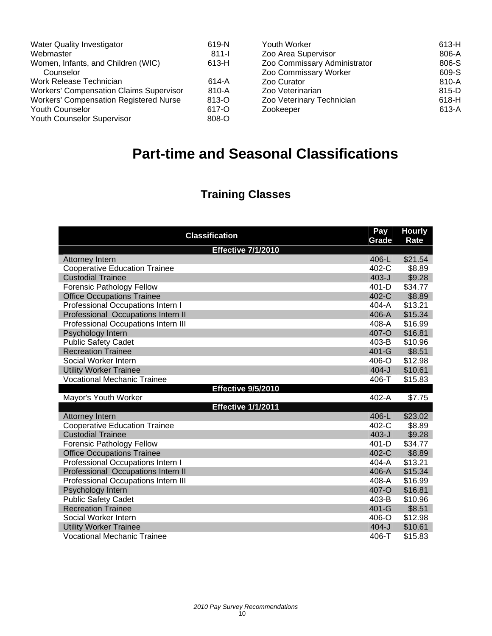| <b>Water Quality Investigator</b>              | 619-N   | Youth Worker                 | 613-H   |
|------------------------------------------------|---------|------------------------------|---------|
| Webmaster                                      | $811 -$ | Zoo Area Supervisor          | 806-A   |
| Women, Infants, and Children (WIC)             | 613-H   | Zoo Commissary Administrator | 806-S   |
| Counselor                                      |         | Zoo Commissary Worker        | 609-S   |
| Work Release Technician                        | 614-A   | Zoo Curator                  | 810-A   |
| <b>Workers' Compensation Claims Supervisor</b> | 810-A   | Zoo Veterinarian             | 815-D   |
| <b>Workers' Compensation Registered Nurse</b>  | 813-O   | Zoo Veterinary Technician    | $618-H$ |
| <b>Youth Counselor</b>                         | 617-O   | Zookeeper                    | 613-A   |
| Youth Counselor Supervisor                     | 808-O   |                              |         |

# **Part-time and Seasonal Classifications**

# **Training Classes**

| <b>Classification</b>                | Pay<br>Grade | <b>Hourly</b><br><b>Rate</b> |
|--------------------------------------|--------------|------------------------------|
| <b>Effective 7/1/2010</b>            |              |                              |
| Attorney Intern                      | 406-L        | \$21.54                      |
| <b>Cooperative Education Trainee</b> | 402-C        | \$8.89                       |
| <b>Custodial Trainee</b>             | $403 - J$    | \$9.28                       |
| Forensic Pathology Fellow            | 401-D        | \$34.77                      |
| <b>Office Occupations Trainee</b>    | 402-C        | \$8.89                       |
| Professional Occupations Intern I    | $404 - A$    | \$13.21                      |
| Professional Occupations Intern II   | 406-A        | \$15.34                      |
| Professional Occupations Intern III  | 408-A        | \$16.99                      |
| Psychology Intern                    | 407-O        | \$16.81                      |
| <b>Public Safety Cadet</b>           | 403-B        | \$10.96                      |
| <b>Recreation Trainee</b>            | 401-G        | \$8.51                       |
| Social Worker Intern                 | $406 - O$    | \$12.98                      |
| <b>Utility Worker Trainee</b>        | $404 - J$    | \$10.61                      |
| <b>Vocational Mechanic Trainee</b>   | 406-T        | \$15.83                      |
| <b>Effective 9/5/2010</b>            |              |                              |
| Mayor's Youth Worker                 | 402-A        | \$7.75                       |
| <b>Effective 1/1/2011</b>            |              |                              |
| Attorney Intern                      | 406-L        | \$23.02                      |
| <b>Cooperative Education Trainee</b> | 402-C        | \$8.89                       |
| <b>Custodial Trainee</b>             | $403-J$      | \$9.28                       |
| <b>Forensic Pathology Fellow</b>     | 401-D        | \$34.77                      |
| <b>Office Occupations Trainee</b>    | 402-C        | \$8.89                       |
| Professional Occupations Intern I    | $404-A$      | \$13.21                      |
| Professional Occupations Intern II   | 406-A        | \$15.34                      |
| Professional Occupations Intern III  | 408-A        | \$16.99                      |
| Psychology Intern                    | 407-O        | \$16.81                      |
| <b>Public Safety Cadet</b>           | 403-B        | \$10.96                      |
| <b>Recreation Trainee</b>            | 401-G        | \$8.51                       |
| Social Worker Intern                 | 406-O        | \$12.98                      |
| <b>Utility Worker Trainee</b>        | $404 - J$    | \$10.61                      |
| <b>Vocational Mechanic Trainee</b>   | 406-T        | \$15.83                      |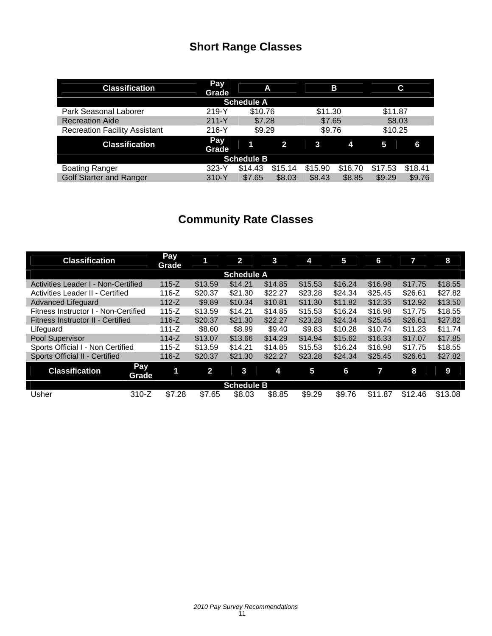# **Short Range Classes**

| <b>Classification</b>                | Pay<br>Grade | A                 |         |         | В       |         | С       |
|--------------------------------------|--------------|-------------------|---------|---------|---------|---------|---------|
|                                      |              | <b>Schedule A</b> |         |         |         |         |         |
| Park Seasonal Laborer                | 219-Y        | \$10.76           |         | \$11.30 |         | \$11.87 |         |
| <b>Recreation Aide</b>               | $211 - Y$    | \$7.28            |         | \$7.65  |         | \$8.03  |         |
| <b>Recreation Facility Assistant</b> | $216-Y$      | \$9.29            |         | \$9.76  |         | \$10.25 |         |
| <b>Classification</b>                | Pay<br>Grade |                   | 2       | 3       | 4       | 5       | 6       |
|                                      |              | <b>Schedule B</b> |         |         |         |         |         |
| <b>Boating Ranger</b>                | $323-Y$      | \$14.43           | \$15.14 | \$15.90 | \$16.70 | \$17.53 | \$18.41 |
| <b>Golf Starter and Ranger</b>       | $310-Y$      | \$7.65            | \$8.03  | \$8.43  | \$8.85  | \$9.29  | \$9.76  |

# **Community Rate Classes**

| <b>Classification</b>                |                     | <b>Pay</b><br>Grade | 1              | $\overline{2}$    | 3       | 4       | 5       | 6       |         | 8       |
|--------------------------------------|---------------------|---------------------|----------------|-------------------|---------|---------|---------|---------|---------|---------|
|                                      |                     |                     |                | <b>Schedule A</b> |         |         |         |         |         |         |
| Activities Leader I - Non-Certified  |                     | $115 - Z$           | \$13.59        | \$14.21           | \$14.85 | \$15.53 | \$16.24 | \$16.98 | \$17.75 | \$18.55 |
| Activities Leader II - Certified     |                     | $116-Z$             | \$20.37        | \$21.30           | \$22.27 | \$23.28 | \$24.34 | \$25.45 | \$26.61 | \$27.82 |
| <b>Advanced Lifeguard</b>            |                     | $112-Z$             | \$9.89         | \$10.34           | \$10.81 | \$11.30 | \$11.82 | \$12.35 | \$12.92 | \$13.50 |
| Fitness Instructor I - Non-Certified |                     | $115 - Z$           | \$13.59        | \$14.21           | \$14.85 | \$15.53 | \$16.24 | \$16.98 | \$17.75 | \$18.55 |
| Fitness Instructor II - Certified    |                     | $116 - Z$           | \$20.37        | \$21.30           | \$22.27 | \$23.28 | \$24.34 | \$25.45 | \$26.61 | \$27.82 |
| Lifeguard                            |                     | 111-Z               | \$8.60         | \$8.99            | \$9.40  | \$9.83  | \$10.28 | \$10.74 | \$11.23 | \$11.74 |
| Pool Supervisor                      |                     | $114-Z$             | \$13.07        | \$13.66           | \$14.29 | \$14.94 | \$15.62 | \$16.33 | \$17.07 | \$17.85 |
| Sports Official I - Non Certified    |                     | $115 - Z$           | \$13.59        | \$14.21           | \$14.85 | \$15.53 | \$16.24 | \$16.98 | \$17.75 | \$18.55 |
| Sports Official II - Certified       |                     | $116 - Z$           | \$20.37        | \$21.30           | \$22.27 | \$23.28 | \$24.34 | \$25.45 | \$26.61 | \$27.82 |
| <b>Classification</b>                | <b>Pay</b><br>Grade | 1                   | $\overline{2}$ | 3                 | 4       | 5       | 6       | 7       | 8       | 9       |
|                                      |                     |                     |                | <b>Schedule B</b> |         |         |         |         |         |         |
| Usher                                | $310-Z$             | \$7.28              | \$7.65         | \$8.03            | \$8.85  | \$9.29  | \$9.76  | \$11.87 | \$12.46 | \$13.08 |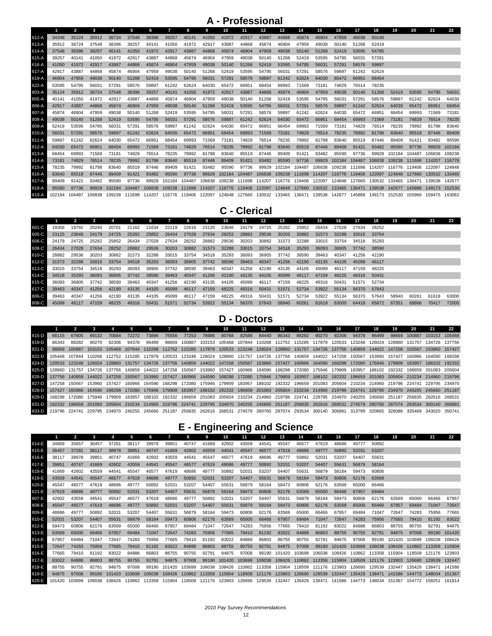## **A - Professional**

|           | г      | $\overline{\mathbf{2}}$ | 3      |        |        | 6      | 7      | 8      |        | 10     | 11                          | 12     | 13                                                                                                       | 14     | 15     | 16            | 17     | 18                                        | 19            | 20            | 21                   | 22     |
|-----------|--------|-------------------------|--------|--------|--------|--------|--------|--------|--------|--------|-----------------------------|--------|----------------------------------------------------------------------------------------------------------|--------|--------|---------------|--------|-------------------------------------------|---------------|---------------|----------------------|--------|
| 612-A     | 34348  | 35124                   | 35912  | 36724  | 37548  | 38396  | 39257  | 40141  | 41050  | 41972  | 42917                       | 43887  | 44868                                                                                                    | 45874  | 46904  | 47959         | 49038  | 50140                                     |               |               |                      |        |
| 613-A     | 35912  | 36724                   | 37548  | 38396  | 39257  | 40141  | 41050  | 41972  | 42917  | 43887  | 44868                       | 45874  | 46904                                                                                                    | 47959  | 49038  | 50140         | 51268  | 52419                                     |               |               |                      |        |
| $614 - A$ | 37548  | 38396                   | 39257  | 40141  | 41050  | 41972  | 42917  | 43887  | 44868  | 45874  | 46904                       | 47959  | 49038                                                                                                    | 50140  | 51268  | 52419         | 53595  | 54795                                     |               |               |                      |        |
| 615-A     | 39257  | 40141                   | 41050  | 41972  | 42917  | 43887  | 44868  | 45874  | 46904  | 47959  | 49038                       | 50140  | 51268                                                                                                    | 52419  | 53595  | 54795         | 56031  | 57291                                     |               |               |                      |        |
| 616-A     | 41050  | 41972                   | 42917  | 43887  | 44868  | 45874  | 46904  | 47959  | 49038  | 50140  | 51268                       | 52419  | 53595                                                                                                    | 54795  | 56031  | 57291         | 58576  | 59897                                     |               |               |                      |        |
| 617-A     | 42917  | 43887                   | 44868  | 45874  | 46904  | 47959  | 49038  | 50140  | 51268  | 52419  | 53595                       | 54795  | 56031                                                                                                    | 57291  | 58576  | 59897         | 61242  | 62624                                     |               |               |                      |        |
| 619-A     | 46904  | 47959                   | 49038  | 50140  | 51268  | 52419  | 53595  | 54795  | 56031  | 57291  | 58576                       | 59897  | 61242                                                                                                    | 62624  | 64030  | 65472         | 66951  | 68454                                     |               |               |                      |        |
| 622-A     | 53595  | 54795                   | 56031  | 57291  | 58576  | 59897  | 61242  | 62624  | 64030  | 65472  | 66951                       | 68454  | 69993                                                                                                    | 71569  | 73181  | 74829         | 76514  | 78235                                     |               |               |                      |        |
| 803-A     | 35124  | 35912                   | 36724  | 37548  | 38396  | 39257  | 40141  | 41050  | 41972  | 42917  | 43887                       | 44868  | 45874                                                                                                    | 46904  | 47959  | 49038         | 50140  | 51268                                     | 52419         | 53595         | 54795                | 56031  |
| 805-A     | 40141  | 41050                   | 41972  | 42917  | 43887  | 44868  | 45874  | 46904  | 47959  | 49038  | 50140                       | 51268  | 52419                                                                                                    | 53595  | 54795  | 56031         | 57291  | 58576                                     | 59897         | 61242         | 62624                | 64030  |
| 806-A     | 42917  | 43887                   | 44868  | 45874  | 46904  | 47959  | 49038  | 50140  | 51268  | 52419  | 53595                       | 54795  | 56031                                                                                                    | 57291  | 58576  | 59897         | 61242  | 62624                                     | 64030         | 65472         | 66951                | 68454  |
| 807-A     | 45874  | 46904                   | 47959  | 49038  | 50140  | 51268  | 52419  | 53595  | 54795  | 56031  | 57291                       | 58576  | 59897                                                                                                    | 61242  | 62624  | 64030         | 65472  | 66951                                     | 68454         | 69993         | 71569                | 73181  |
| 808-A     | 49038  | 50140                   | 51268  | 52419  | 53595  | 54795  | 56031  | 57291  | 58576  | 59897  | 61242                       | 62624  | 64030                                                                                                    | 65472  | 66951  | 68454         | 69993  | 71569                                     | 73181         | 74829         | 76514                | 78235  |
| 809-A     | 52419  | 53595                   | 54795  | 56031  | 57291  | 58576  | 59897  | 61242  | 62624  | 64030  | 65472                       | 66951  | 68454                                                                                                    | 69993  | 71569  | 73181         | 74829  | 76514                                     | 78235         | 79992         | 81798                | 83640  |
| 810-A     | 56031  | 57291                   | 58576  | 59897  | 61242  | 62624  | 64030  | 65472  | 66951  | 68454  | 69993                       | 71569  | 73181                                                                                                    | 74829  | 76514  | 78235         | 79992  | 81798                                     | 83640         | 85519         | 87446                | 89409  |
| $811 - A$ | 59897  | 61242                   | 62624  | 64030  | 65472  | 66951  | 68454  | 69993  | 71569  | 73181  | 74829                       | 76514  | 78235                                                                                                    | 79992  | 81798  | 83640         | 85519  | 87446                                     | 89409         | 91421         | 93482                | 95590  |
| 812-A     | 64030  | 65472                   | 66951  | 68454  | 69993  | 71569  | 73181  | 74829  | 76514  | 78235  | 79992                       | 81798  | 83640                                                                                                    | 85519  | 87446  | 89409         | 91421  | 93482                                     | 95590         | 97736         | 99929                | 102184 |
| 813-A     | 68454  | 69993                   | 71569  | 73181  | 74829  | 76514  | 78235  | 79992  | 81798  | 83640  | 85519                       | 87446  | 89409                                                                                                    | 91421  | 93482  | 95590         | 97736  | 99929                                     | 102184        | 104487        | 106838               | 109238 |
| 814-A     | 73181  | 74829                   | 76514  | 78235  | 79992  | 81798  | 83640  | 85519  | 87446  | 89409  | 91421                       | 93482  | 95590                                                                                                    | 97736  | 99929  | 102184        | 104487 | 106838                                    | 109238        | 111698 114207 |                      | 116776 |
| 815-A     | 78235  | 79992                   | 81798  | 83640  | 85519  | 87446  | 89409  | 91421  | 93482  | 95590  | 97736                       | 99929  | 102184                                                                                                   | 104487 | 106838 |               |        | 109238 111698 114207 116776 119406 122097 |               |               |                      | 124848 |
| 816-A     | 83640  | 85519                   | 87446  | 89409  | 91421  | 93482  | 95590  | 97736  | 99929  | 102184 | 104487                      | 106838 |                                                                                                          |        |        |               |        | 109238 111698 114207 116776 119406 122097 | 124848        | 127660        | 130532               | 133465 |
| 817-A     | 89409  | 91421                   | 93482  | 95590  | 97736  | 99929  | 102184 | 104487 | 106838 |        | 109238 111698 114207        |        | 116776 119406 122097                                                                                     |        |        | 124848 127660 |        | 130532                                    | 133465 136471 |               | 139538               | 142677 |
| 818-A     | 95590  | 97736                   | 99929  | 102184 | 104487 | 106838 | 109238 |        |        |        | 111698 114207 116776 119406 |        | 122097 124848 127660 130532 133465 136471 139538                                                         |        |        |               |        |                                           | 142677        |               | 145888 149173        | 152530 |
| 819-A     | 102184 | 104487                  | 106838 | 109238 |        |        |        |        |        |        |                             |        | 111698 114207 116776 119406 122097 124848 127660 130532 133465 136471 139538 142677 145888 149173 152530 |        |        |               |        |                                           |               |               | 155960 159475 163062 |        |

### **C - Clerical**

|         |       |       |       |       |       |       |       | 8     | 9     | 10                | $-11$             | 12 <sup>12</sup> | 13          | 14    | 15    | 16    | 17          | 18    | 19    | 20    | 21    | 22    |
|---------|-------|-------|-------|-------|-------|-------|-------|-------|-------|-------------------|-------------------|------------------|-------------|-------|-------|-------|-------------|-------|-------|-------|-------|-------|
| 601-C   | 19356 | 19792 | 20240 | 20701 | 21162 | 21634 | 22119 | 22616 | 23125 | 23646             | 24179             | 24725            | 25282       | 25852 | 26434 | 27028 | 27634       | 28252 |       |       |       |       |
| 605-C   | 23125 | 23646 | 24179 | 24725 | 25282 | 25852 | 26434 | 27028 | 27634 | 28252             | 28882             | 29536            | 30203       | 30882 | 31573 | 32288 | 33015       | 33754 |       |       |       |       |
| 606-C   | 24179 | 24725 | 25282 | 25852 | 26434 | 27028 | 27634 | 28252 | 28882 | 29536             | 30203             | 30882            | 31573       | 32288 | 33015 | 33754 | 34518       | 35293 |       |       |       |       |
| 608-C   | 26434 | 27028 | 27634 | 28252 | 28882 | 29536 | 30203 | 30882 |       |                   | 31573 32288 33015 |                  | 33754 34518 | 35293 | 36093 | 36905 | 37742 38590 |       |       |       |       |       |
| 610-C   | 28882 | 29536 | 30203 | 30882 | 31573 | 32288 | 33015 | 33754 | 34518 | 35293             | 36093             | 36905            | 37742       | 38590 | 39463 | 40347 | 41256       | 42190 |       |       |       |       |
| $612-C$ | 31573 | 32288 | 33015 | 33754 | 34518 | 35293 | 36093 | 36905 |       | 37742 38590 39463 |                   | 40347            | 41256       | 42190 | 43135 | 44105 | 45099       | 46117 |       |       |       |       |
| 613-C   | 33015 | 33754 | 34518 | 35293 | 36093 | 36905 | 37742 | 38590 | 39463 | 40347             | 41256             | 42190            | 43135       | 44105 | 45099 | 46117 | 47159       | 48225 |       |       |       |       |
| 614-C I | 34518 | 35293 | 36093 | 36905 | 37742 | 38590 | 39463 | 40347 | 41256 | 42190             | 43135             | 44105            | 45099       | 46117 | 47159 | 48225 | 49316 50431 |       |       |       |       |       |
| 615-C   | 36093 | 36905 | 37742 | 38590 | 39463 | 40347 | 41256 | 42190 | 43135 | 44105             | 45099             | 46117            | 47159       | 48225 | 49316 | 50431 | 51571       | 52734 |       |       |       |       |
| 617-C   | 39463 | 40347 | 41256 | 42190 | 43135 | 44105 | 45099 | 46117 | 47159 | 48225             | 49316             | 50431            | 51571       | 52734 | 53922 | 55134 | 56370       | 57643 |       |       |       |       |
| 806-C   | 39463 | 40347 | 41256 | 42190 | 43135 | 44105 | 45099 | 46117 | 47159 | 48225             | 49316             | 50431            | 51571       | 52734 | 53922 | 55134 | 56370       | 57643 | 58940 | 60261 | 61618 | 63000 |
| 808-C   | 45099 | 46117 | 47159 | 48225 | 49316 | 50431 | 51571 | 52734 | 53922 | 55134             | 56370             | 57643            | 58940       | 60261 | 61618 | 63000 | 64418       | 65872 | 67351 | 68866 | 70417 | 72005 |

### **D - Doctors**

|         |                                                                                                                                                                 |        |                      |               |                                                                                                                        |       |       |                      |       | 10.   | 11.                                                                                                      | 12    | 13    | 14    | 15    | 16    | -17    | 18            | 19     | 20                                                                                                                                                 | 21                   |  |
|---------|-----------------------------------------------------------------------------------------------------------------------------------------------------------------|--------|----------------------|---------------|------------------------------------------------------------------------------------------------------------------------|-------|-------|----------------------|-------|-------|----------------------------------------------------------------------------------------------------------|-------|-------|-------|-------|-------|--------|---------------|--------|----------------------------------------------------------------------------------------------------------------------------------------------------|----------------------|--|
| $815-D$ | 66115                                                                                                                                                           | 67605  | 69132                | 70684         | 72272                                                                                                                  | 73896 | 75556 | 77253                | 78986 | 80768 | 82586                                                                                                    | 84440 | 86343 | 88282 | 90270 | 92306 | 94378  | 96499         | 98669  | 100887                                                                                                                                             | 103153 105468        |  |
| 819-D   | 86343                                                                                                                                                           | 88282  | 90270                | 92306         | 94378                                                                                                                  | 96499 | 98669 | 100887               |       |       | 103153 105468 107844 110268 112752 115285 117879 120533 123248 126024                                    |       |       |       |       |       |        |               |        | 128860 131757                                                                                                                                      | 134726 137756        |  |
| 821-D I | 98669                                                                                                                                                           | 100887 |                      | 103153 105468 | 107844                                                                                                                 |       |       |                      |       |       | 110268 112752 115285 117879 120533 123248 126024 128860 131757 134726 137756 140859 144022 147258 150567 |       |       |       |       |       |        |               |        |                                                                                                                                                    | 153960 157427        |  |
| 822-D   |                                                                                                                                                                 |        |                      |               | 105468 107844 110268 112752 115285 117879 120533 123248 126024 128860 131757 134726 137756 140859 144022 147258 150567 |       |       |                      |       |       |                                                                                                          |       |       |       |       |       |        | 153960        | 157427 | 160966                                                                                                                                             | 164590 168298        |  |
| $824-D$ | 120533                                                                                                                                                          |        | 123248 126024        | 128860        | 131757                                                                                                                 |       |       |                      |       |       | 134726 137756 140859 144022 147258 150567 153960 157427 160966 164590 168298 172080 175946 179909        |       |       |       |       |       |        |               |        | 183957                                                                                                                                             | 188102 192332        |  |
| $825-D$ | 128860                                                                                                                                                          |        | 131757 134726 137756 |               | 140859                                                                                                                 |       |       |                      |       |       | 144022 147258 150567 153960 157427 160966 164590 168298 172080 175946 179909                             |       |       |       |       |       | 183957 | 188102 192332 |        |                                                                                                                                                    | 196659 201083 205604 |  |
| 826-D I |                                                                                                                                                                 |        | 140859 144022 147258 |               | 150567                                                                                                                 |       |       |                      |       |       |                                                                                                          |       |       |       |       |       |        |               |        | 153960 157427 160966 164590 168298 172080 175946 179909 183957 188102 192332 196659 201083 205604 210234 214960 219796                             |                      |  |
| 827-D   |                                                                                                                                                                 | 150567 |                      | 153960 157427 | 160966                                                                                                                 |       |       |                      |       |       |                                                                                                          |       |       |       |       |       |        |               |        | 164590 168298 172080 175946 179909 183957 188102 192332 196659 201083 205604 210234 214960 219796 224741 229795 234970                             |                      |  |
| 828-D I |                                                                                                                                                                 |        | 160966 164590 168298 |               | 172080                                                                                                                 |       |       | 175946 179909 183957 |       |       |                                                                                                          |       |       |       |       |       |        |               |        | 188102 192332 196659 201083 205604 210234 214960 219796 224741 229795 234970 240255 245660 251187                                                  |                      |  |
| 829-D   | 168298                                                                                                                                                          |        | 172080 175946 179909 |               | 183957                                                                                                                 |       |       |                      |       |       |                                                                                                          |       |       |       |       |       |        |               |        | 188102 192332 196659 201083 205604 210234 214960 219796 224741 229795 234970 240255 245660 251187 256835 262616 268531                             |                      |  |
| 831-D I |                                                                                                                                                                 |        |                      |               |                                                                                                                        |       |       |                      |       |       |                                                                                                          |       |       |       |       |       |        |               |        | 196659 201083 205604 210234 214960 219796 224741 229795 234970 240255 245660 251187 256835 262616 268531 274579 280760 287074 293534 300140 306891 |                      |  |
|         | 88890 219796 224741 229795 234970 240255 245660 251187 256835 262616 268531 274579 280760 287074 293534 300140 306891 313799 320865 328088 335469 343020 350741 |        |                      |               |                                                                                                                        |       |       |                      |       |       |                                                                                                          |       |       |       |       |       |        |               |        |                                                                                                                                                    |                      |  |

## **E - Engineering and Science**

|       |        |        |        |        |        |        |        |        | 9     | 10     | 11                          | 12                                                      | 13                   |        | 15    |               | 17     | 18            | 19                                                                                                                                   | 20     | 21                   | 22     |
|-------|--------|--------|--------|--------|--------|--------|--------|--------|-------|--------|-----------------------------|---------------------------------------------------------|----------------------|--------|-------|---------------|--------|---------------|--------------------------------------------------------------------------------------------------------------------------------------|--------|----------------------|--------|
| 614-E | 34869  | 35657  | 36457  | 37281  | 38117  | 38978  | 39851  | 40747  | 41669 | 42602  | 43559                       | 44541                                                   | 45547                | 46577  | 47619 | 48686         | 49777  | 50892         |                                                                                                                                      |        |                      |        |
| 615-E | 36457  | 37281  | 38117  | 38978  | 39851  | 40747  | 41669  | 42602  | 43559 | 44541  | 45547                       | 46577                                                   | 47619                | 48686  | 49777 | 50892         | 52031  | 53207         |                                                                                                                                      |        |                      |        |
| 616-E | 38117  | 38978  | 39851  | 40747  | 41669  | 42602  | 43559  | 44541  | 45547 | 46577  | 47619                       | 48686                                                   | 49777                | 50892  | 52031 | 53207         | 54407  | 55631         |                                                                                                                                      |        |                      |        |
| 617-E | 39851  | 40747  | 41669  | 42602  | 43559  | 44541  | 45547  | 46577  | 47619 | 48686  | 49777                       | 50892                                                   | 52031                | 53207  | 54407 | 55631         | 56879  | 58164         |                                                                                                                                      |        |                      |        |
| 618-E | 41669  | 42602  | 43559  | 44541  | 45547  | 46577  | 47619  | 48686  | 49777 | 50892  | 52031                       | 53207                                                   | 54407                | 55631  | 56879 | 58164         | 59473  | 60806         |                                                                                                                                      |        |                      |        |
| 619-E | 43559  | 44541  | 45547  | 46577  | 47619  | 48686  | 49777  | 50892  | 52031 | 53207  | 54407                       | 55631                                                   | 56879                | 58164  | 59473 | 60806         | 62176  | 63569         |                                                                                                                                      |        |                      |        |
| 620-E | 45547  | 46577  | 47619  | 48686  | 49777  | 50892  | 52031  | 53207  | 54407 | 55631  | 56879                       | 58164                                                   | 59473                | 60806  | 62176 | 63569         | 65000  | 66466         |                                                                                                                                      |        |                      |        |
| 621-E | 47619  | 48686  | 49777  | 50892  | 52031  | 53207  | 54407  | 55631  | 56879 | 58164  | 59473                       | 60806                                                   | 62176                | 63569  | 65000 | 66466         | 67957  | 69484         |                                                                                                                                      |        |                      |        |
| 807-E | 42602  | 43559  | 44541  | 45547  | 46577  | 47619  | 48686  | 49777  | 50892 | 52031  | 53207                       | 54407                                                   | 55631                | 56879  | 58164 | 59473         | 60806  | 62176         | 63569                                                                                                                                | 65000  | 66466                | 67957  |
| 808-E | 45547  | 46577  | 47619  | 48686  | 49777  | 50892  | 52031  | 53207  | 54407 | 55631  | 56879                       | 58164                                                   | 59473                | 60806  | 62176 | 63569         | 65000  | 66466         | 67957                                                                                                                                | 69484  | 71047                | 72647  |
| 809-E | 48686  | 49777  | 50892  | 52031  | 53207  | 54407  | 55631  | 56879  | 58164 | 59473  | 60806                       | 62176                                                   | 63569                | 65000  | 66466 | 67957         | 69484  | 71047         | 72647                                                                                                                                | 74283  | 75956                | 77665  |
| 810-E | 52031  | 53207  | 54407  | 55631  | 56879  | 58164  | 59473  | 60806  | 62176 | 63569  | 65000                       | 66466                                                   | 67957                | 69484  | 71047 | 72647         | 74283  | 75956         | 77665                                                                                                                                | 79410  | 81192                | 83022  |
| 812-E | 59473  | 60806  | 62176  | 63569  | 65000  | 66466  | 67957  | 69484  | 71047 | 72647  | 74283                       | 75956                                                   | 77665                | 79410  | 81192 | 83022         | 84888  | 86803         | 88755                                                                                                                                | 90755  | 92791                | 94875  |
| 813-E | 63569  | 65000  | 66466  | 67957  | 69484  | 71047  | 72647  | 74283  | 75956 | 77665  | 79410                       | 81192                                                   | 83022                | 84888  | 86803 | 88755         | 90755  | 92791         | 94875                                                                                                                                | 97008  | 99190                | 101420 |
| 814-E | 67957  | 69484  | 71047  | 72647  | 74283  | 75956  | 77665  | 79410  | 81192 | 83022  | 84888                       | 86803                                                   | 88755                | 90755  | 92791 | 94875         | 97008  | 99190         | 101420                                                                                                                               | 103699 | 106038 108426        |        |
| 815-E | 72647  | 74283  | 75956  | 77665  | 79410  | 81192  | 83022  | 84888  | 86803 | 88755  | 90755                       | 92791                                                   | 94875                | 97008  | 99190 | 101420        | 103699 | 106038        | 108426                                                                                                                               |        | 110862 113358 115904 |        |
| 816-E | 77665  | 79410  | 81192  | 83022  | 84888  | 86803  | 88755  | 90755  | 92791 | 94875  | 97008                       | 99190                                                   | 101420               | 103699 |       |               |        |               | 106038 108426 110862 113358 115904 118509                                                                                            |        | 121176 123903        |        |
| 817-E | 83022  | 84888  | 86803  | 88755  | 90755  | 92791  | 94875  | 97008  | 99190 | 101420 | 103699                      |                                                         |                      |        |       |               |        |               | 106038 108426 110862 113358 115904 118509 121176 123903 126690 129539 132447                                                         |        |                      |        |
| 818-E | 88755  | 90755  | 92791  | 94875  | 97008  | 99190  | 101420 | 103699 |       |        |                             | 106038 108426 110862 113358 115904 118509 121176 123903 |                      |        |       |               |        | 126690 129539 | 132447 135429                                                                                                                        |        | 138471 141586        |        |
| 819-E | 94875  | 97008  | 99190  | 101420 | 103699 | 106038 | 108426 |        |       |        | 110862 113358 115904 118509 |                                                         | 121176 123903 126690 |        |       | 129539 132447 |        |               | 135429 138471 141586 144773 148034 151367                                                                                            |        |                      |        |
| 820-E | 101420 | 103699 | 106038 |        |        |        |        |        |       |        |                             |                                                         |                      |        |       |               |        |               | 108426 110862 113358 115904 118509 121176 123903 126690 129539 132447 135429 138471 141586 144773 148034 151367 154772 158251 161814 |        |                      |        |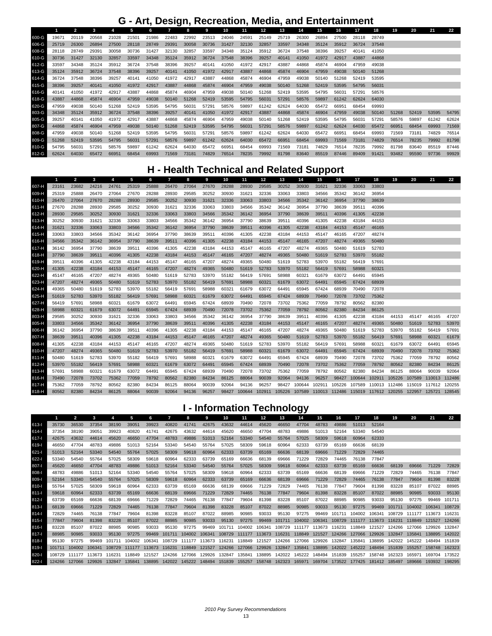## **G - Art, Design, Recreation, Media, and Entertainment**

|       |       | $\mathbf{z}$ | 3     | 4     | 5     | 6     | $\mathbf{z}$ | 8     | 9     | 10    | 11    | 12    | 13    | 14    | 15    | 16    | 17    | 18    | 19    | 20    | 21    | 22    |
|-------|-------|--------------|-------|-------|-------|-------|--------------|-------|-------|-------|-------|-------|-------|-------|-------|-------|-------|-------|-------|-------|-------|-------|
| 600-G | 19671 | 20119        | 20568 | 21028 | 21501 | 21986 | 22483        | 22992 | 23513 | 24046 | 24591 | 25149 | 25719 | 26300 | 26894 | 27500 | 28118 | 28749 |       |       |       |       |
| 606-G | 25719 | 26300        | 26894 | 27500 | 28118 | 28749 | 29391        | 30058 | 30736 | 31427 | 32130 | 32857 | 33597 | 34348 | 35124 | 35912 | 36724 | 37548 |       |       |       |       |
| 608-G | 28118 | 28749        | 29391 | 30058 | 30736 | 31427 | 32130        | 32857 | 33597 | 34348 | 35124 | 35912 | 36724 | 37548 | 38396 | 39257 | 40141 | 41050 |       |       |       |       |
| 610-G | 30736 | 31427        | 32130 | 32857 | 33597 | 34348 | 35124        | 35912 | 36724 | 37548 | 38396 | 39257 | 40141 | 41050 | 41972 | 42917 | 43887 | 44868 |       |       |       |       |
| 612-G | 33597 | 34348        | 35124 | 35912 | 36724 | 37548 | 38396        | 39257 | 40141 | 41050 | 41972 | 42917 | 43887 | 44868 | 45874 | 46904 | 47959 | 49038 |       |       |       |       |
| 613-G | 35124 | 35912        | 36724 | 37548 | 38396 | 39257 | 40141        | 41050 | 41972 | 42917 | 43887 | 44868 | 45874 | 46904 | 47959 | 49038 | 50140 | 51268 |       |       |       |       |
| 614-G | 36724 | 37548        | 38396 | 39257 | 40141 | 41050 | 41972        | 42917 | 43887 | 44868 | 45874 | 46904 | 47959 | 49038 | 50140 | 51268 | 52419 | 53595 |       |       |       |       |
| 615-G | 38396 | 39257        | 40141 | 41050 | 41972 | 42917 | 43887        | 44868 | 45874 | 46904 | 47959 | 49038 | 50140 | 51268 | 52419 | 53595 | 54795 | 56031 |       |       |       |       |
| 616-G | 40141 | 41050        | 41972 | 42917 | 43887 | 44868 | 45874        | 46904 | 47959 | 49038 | 50140 | 51268 | 52419 | 53595 | 54795 | 56031 | 57291 | 58576 |       |       |       |       |
| 618-G | 43887 | 44868        | 45874 | 46904 | 47959 | 49038 | 50140        | 51268 | 52419 | 53595 | 54795 | 56031 | 57291 | 58576 | 59897 | 61242 | 62624 | 64030 |       |       |       |       |
| 620-G | 47959 | 49038        | 50140 | 51268 | 52419 | 53595 | 54795        | 56031 | 57291 | 58576 | 59897 | 61242 | 62624 | 64030 | 65472 | 66951 | 68454 | 69993 |       |       |       |       |
| 803-G | 34348 | 35124        | 35912 | 36724 | 37548 | 38396 | 39257        | 40141 | 41050 | 41972 | 42917 | 43887 | 44868 | 45874 | 46904 | 47959 | 49038 | 50140 | 51268 | 52419 | 53595 | 54795 |
| 805-G | 39257 | 40141        | 41050 | 41972 | 42917 | 43887 | 44868        | 45874 | 46904 | 47959 | 49038 | 50140 | 51268 | 52419 | 53595 | 54795 | 56031 | 57291 | 58576 | 59897 | 61242 | 62624 |
| 807-G | 44868 | 45874        | 46904 | 47959 | 49038 | 50140 | 51268        | 52419 | 53595 | 54795 | 56031 | 57291 | 58576 | 59897 | 61242 | 62624 | 64030 | 65472 | 66951 | 68454 | 69993 | 71569 |
| 808-G | 47959 | 49038        | 50140 | 51268 | 52419 | 53595 | 54795        | 56031 | 57291 | 58576 | 59897 | 61242 | 62624 | 64030 | 65472 | 66951 | 68454 | 69993 | 71569 | 73181 | 74829 | 76514 |
| 809-G | 51268 | 52419        | 53595 | 54795 | 56031 | 57291 | 58576        | 59897 | 61242 | 62624 | 64030 | 65472 | 66951 | 68454 | 69993 | 71569 | 73181 | 74829 | 76514 | 78235 | 79992 | 81798 |
| 810-G | 54795 | 56031        | 57291 | 58576 | 59897 | 61242 | 62624        | 64030 | 65472 | 66951 | 68454 | 69993 | 71569 | 73181 | 74829 | 76514 | 78235 | 79992 | 81798 | 83640 | 85519 | 87446 |
| 812-G | 62624 | 64030        | 65472 | 66951 | 68454 | 69993 | 71569        | 73181 | 74829 | 76514 | 78235 | 79992 | 81798 | 83640 | 85519 | 87446 | 89409 | 91421 | 93482 | 95590 | 97736 | 99929 |

### **H - Health Technical and Related Support**

|       | 1     | $\overline{2}$ | 3     | 4     | 5     | 6     | $\overline{7}$ | 8     | 9     | 10    | 11                  | 12    | 13    | 14                                                                    | . .<br>15 | 16     | 17    | 18            | 19                          | 20    | 21            | 22     |
|-------|-------|----------------|-------|-------|-------|-------|----------------|-------|-------|-------|---------------------|-------|-------|-----------------------------------------------------------------------|-----------|--------|-------|---------------|-----------------------------|-------|---------------|--------|
| 607-H | 23161 | 23682          | 24216 | 24761 | 25319 | 25888 | 26470          | 27064 | 27670 | 28288 | 28930               | 29585 | 30252 | 30930                                                                 | 31621     | 32336  | 33063 | 33803         |                             |       |               |        |
| 609-H | 25319 | 25888          | 26470 | 27064 | 27670 | 28288 | 28930          | 29585 | 30252 | 30930 | 31621               | 32336 | 33063 | 33803                                                                 | 34566     | 35342  | 36142 | 36954         |                             |       |               |        |
| 610-H | 26470 | 27064          | 27670 | 28288 | 28930 | 29585 | 30252          | 30930 | 31621 | 32336 | 33063               | 33803 | 34566 | 35342                                                                 | 36142     | 36954  | 37790 | 38639         |                             |       |               |        |
| 611-H | 27670 | 28288          | 28930 | 29585 | 30252 | 30930 | 31621          | 32336 | 33063 | 33803 | 34566               | 35342 | 36142 | 36954                                                                 | 37790     | 38639  | 39511 | 40396         |                             |       |               |        |
| 612-H | 28930 | 29585          | 30252 | 30930 | 31621 | 32336 | 33063          | 33803 | 34566 | 35342 | 36142               | 36954 | 37790 | 38639                                                                 | 39511     | 40396  | 41305 | 42238         |                             |       |               |        |
| 613-H | 30252 | 30930          | 31621 | 32336 | 33063 | 33803 | 34566          | 35342 | 36142 | 36954 | 37790               | 38639 | 39511 | 40396                                                                 | 41305     | 42238  | 43184 | 44153         |                             |       |               |        |
| 614-H | 31621 | 32336          | 33063 | 33803 | 34566 | 35342 | 36142          | 36954 | 37790 | 38639 | 39511               | 40396 | 41305 | 42238                                                                 | 43184     | 44153  | 45147 | 46165         |                             |       |               |        |
| 615-H | 33063 | 33803          | 34566 | 35342 | 36142 | 36954 | 37790          | 38639 | 39511 | 40396 | 41305               | 42238 | 43184 | 44153                                                                 | 45147     | 46165  | 47207 | 48274         |                             |       |               |        |
| 616-H | 34566 | 35342          | 36142 | 36954 | 37790 | 38639 | 39511          | 40396 | 41305 | 42238 | 43184               | 44153 | 45147 | 46165                                                                 | 47207     | 48274  | 49365 | 50480         |                             |       |               |        |
| 617-H | 36142 | 36954          | 37790 | 38639 | 39511 | 40396 | 41305          | 42238 | 43184 | 44153 | 45147               | 46165 | 47207 | 48274                                                                 | 49365     | 50480  | 51619 | 52783         |                             |       |               |        |
| 618-H | 37790 | 38639          | 39511 | 40396 | 41305 | 42238 | 43184          | 44153 | 45147 | 46165 | 47207               | 48274 | 49365 | 50480                                                                 | 51619     | 52783  | 53970 | 55182         |                             |       |               |        |
| 619-H | 39511 | 40396          | 41305 | 42238 | 43184 | 44153 | 45147          | 46165 | 47207 | 48274 | 49365               | 50480 | 51619 | 52783                                                                 | 53970     | 55182  | 56419 | 57691         |                             |       |               |        |
| 620-H | 41305 | 42238          | 43184 | 44153 | 45147 | 46165 | 47207          | 48274 | 49365 | 50480 | 51619               | 52783 | 53970 | 55182                                                                 | 56419     | 57691  | 58988 | 60321         |                             |       |               |        |
| 622-H | 45147 | 46165          | 47207 | 48274 | 49365 | 50480 | 51619          | 52783 | 53970 | 55182 | 56419               | 57691 | 58988 | 60321                                                                 | 61679     | 63072  | 64491 | 65945         |                             |       |               |        |
| 623-H | 47207 | 48274          | 49365 | 50480 | 51619 | 52783 | 53970          | 55182 | 56419 | 57691 | 58988               | 60321 | 61679 | 63072                                                                 | 64491     | 65945  | 67424 | 68939         |                             |       |               |        |
| 624-H | 49365 | 50480          | 51619 | 52783 | 53970 | 55182 | 56419          | 57691 | 58988 | 60321 | 61679               | 63072 | 64491 | 65945                                                                 | 67424     | 68939  | 70490 | 72078         |                             |       |               |        |
| 625-H | 51619 | 52783          | 53970 | 55182 | 56419 | 57691 | 58988          | 60321 | 61679 | 63072 | 64491               | 65945 | 67424 | 68939                                                                 | 70490     | 72078  | 73702 | 75362         |                             |       |               |        |
| 627-H | 56419 | 57691          | 58988 | 60321 | 61679 | 63072 | 64491          | 65945 | 67424 | 68939 | 70490               | 72078 | 73702 | 75362                                                                 | 77059     | 78792  | 80562 | 82380         |                             |       |               |        |
| 628-H | 58988 | 60321          | 61679 | 63072 | 64491 | 65945 | 67424          | 68939 | 70490 | 72078 | 73702               | 75362 | 77059 | 78792                                                                 | 80562     | 82380  | 84234 | 86125         |                             |       |               |        |
| 803-H | 29585 | 30252          | 30930 | 31621 | 32336 | 33063 | 33803          | 34566 | 35342 | 36142 | 36954               | 37790 | 38639 | 39511                                                                 | 40396     | 41305  | 42238 | 43184         | 44153                       | 45147 | 46165         | 47207  |
| 805-H | 33803 | 34566          | 35342 | 36142 | 36954 | 37790 | 38639          | 39511 | 40396 | 41305 | 42238               | 43184 | 44153 | 45147                                                                 | 46165     | 47207  | 48274 | 49365         | 50480                       | 51619 | 52783         | 53970  |
| 806-H | 36142 | 36954          | 37790 | 38639 | 39511 | 40396 | 41305          | 42238 | 43184 | 44153 | 45147               | 46165 | 47207 | 48274                                                                 | 49365     | 50480  | 51619 | 52783         | 53970                       | 55182 | 56419         | 57691  |
| 807-H | 38639 | 39511          | 40396 | 41305 | 42238 | 43184 | 44153          | 45147 | 46165 | 47207 | 48274               | 49365 | 50480 | 51619                                                                 | 52783     | 53970  | 55182 | 56419         | 57691                       | 58988 | 60321         | 61679  |
| 808-H | 41305 | 42238          | 43184 | 44153 | 45147 | 46165 | 47207          | 48274 | 49365 | 50480 | 51619               | 52783 | 53970 | 55182                                                                 | 56419     | 57691  | 58988 | 60321         | 61679                       | 63072 | 64491         | 65945  |
| 810-H | 47207 | 48274          | 49365 | 50480 | 51619 | 52783 | 53970          | 55182 | 56419 | 57691 | 58988               | 60321 | 61679 | 63072                                                                 | 64491     | 65945  | 67424 | 68939         | 70490                       | 72078 | 73702         | 75362  |
| 811-H | 50480 | 51619          | 52783 | 53970 | 55182 | 56419 | 57691          | 58988 | 60321 | 61679 | 63072               | 64491 | 65945 | 67424                                                                 | 68939     | 70490  | 72078 | 73702         | 75362                       | 77059 | 78792         | 80562  |
| 812-H | 53970 | 55182          | 56419 | 57691 | 58988 | 60321 | 61679          | 63072 | 64491 | 65945 | 67424               | 68939 | 70490 | 72078                                                                 | 73702     | 75362  | 77059 | 78792         | 80562                       | 82380 | 84234         | 86125  |
| 813-H | 57691 | 58988          | 60321 | 61679 | 63072 | 64491 | 65945          | 67424 | 68939 | 70490 | 72078               | 73702 | 75362 | 77059                                                                 | 78792     | 80562  | 82380 | 84234         | 86125                       | 88064 | 90039         | 92064  |
| 816-H | 70490 | 72078          | 73702 | 75362 | 77059 | 78792 | 80562          | 82380 | 84234 | 86125 | 88064               | 90039 | 92064 | 94136                                                                 | 96257     | 98427  |       | 100644 102911 | 105226 107589               |       | 110013        | 112486 |
| 817-H | 75362 | 77059          | 78792 | 80562 | 82380 | 84234 | 86125          | 88064 | 90039 | 92064 | 94136               | 96257 | 98427 | 100644 102911                                                         |           | 105226 |       |               | 107589 110013 112486 115019 |       | 117612 120255 |        |
| 818-H | 80562 | 82380          | 84234 | 86125 | 88064 | 90039 | 92064          | 94136 | 96257 |       | 98427 100644 102911 |       |       | 105226 107589 110013 112486 115019 117612 120255 122957 125721 128545 |           |        |       |               |                             |       |               |        |

## **I - Information Technology**

|           |        | $\overline{\phantom{a}}$ | 3                    | 4      | 5      | 6      | $\overline{ }$ | 8      | 9      | 10                   | 11                   | 12            | 13                                                                                                | 14                          | 15     | 16                          | 17     | 18            | 19     | 20                          | 21            | 22     |
|-----------|--------|--------------------------|----------------------|--------|--------|--------|----------------|--------|--------|----------------------|----------------------|---------------|---------------------------------------------------------------------------------------------------|-----------------------------|--------|-----------------------------|--------|---------------|--------|-----------------------------|---------------|--------|
| $613 -$   | 35730  | 36530                    | 37354                | 38190  | 3905'  | 39923  | 40820          | 41741  | 42675  | 43632                | 44614                | 45620         | 46650                                                                                             | 47704                       | 48783  | 49886                       | 51013  | 52164         |        |                             |               |        |
| $614 -$   | 37354  | 38190                    | 39051                | 39923  | 40820  | 41741  | 42675          | 43632  | 44614  | 45620                | 46650                | 47704         | 48783                                                                                             | 49886                       | 51013  | 52164                       | 53340  | 54540         |        |                             |               |        |
| $617 -$   | 42675  | 43632                    | 44614                | 45620  | 46650  | 47704  | 48783          | 49886  | 51013  | 52164                | 53340                | 54540         | 55764                                                                                             | 57025                       | 58309  | 59618                       | 60964  | 62333         |        |                             |               |        |
| 619-l     | 46650  | 47704                    | 48783                | 49886  | 51013  | 52164  | 53340          | 54540  | 55764  | 57025                | 58309                | 59618         | 60964                                                                                             | 62333                       | 63739  | 65169                       | 66636  | 68139         |        |                             |               |        |
| $621 -$   | 51013  | 52164                    | 53340                | 54540  | 55764  | 57025  | 58309          | 59618  | 60964  | 62333                | 63739                | 65169         | 66636                                                                                             | 68139                       | 69666  | 71229                       | 72829  | 74465         |        |                             |               |        |
| $622 -$   | 53340  | 54540                    | 55764                | 57025  | 58309  | 59618  | 60964          | 62333  | 63739  | 65169                | 66636                | 68139         | 69666                                                                                             | 71229                       | 72829  | 74465                       | 76138  | 77847         |        |                             |               |        |
| 807-l     | 45620  | 46650                    | 47704                | 48783  | 49886  | 51013  | 52164          | 53340  | 54540  | 55764                | 57025                | 58309         | 59618                                                                                             | 60964                       | 62333  | 63739                       | 65169  | 66636         | 68139  | 69666                       | 71229         | 72829  |
| $808 -$   | 48783  | 49886                    | 51013                | 52164  | 53340  | 54540  | 55764          | 57025  | 58309  | 59618                | 60964                | 62333         | 63739                                                                                             | 65169                       | 66636  | 68139                       | 69666  | 71229         | 72829  | 74465                       | 76138         | 77847  |
| 809-1     | 52164  | 53340                    | 54540                | 55764  | 57025  | 58309  | 59618          | 60964  | 62333  | 63739                | 65169                | 66636         | 68139                                                                                             | 69666                       | 71229  | 72829                       | 74465  | 76138         | 77847  | 79604                       | 81398         | 83228  |
| $810 -$   | 55764  | 57025                    | 58309                | 59618  | 60964  | 62333  | 63739          | 65169  | 66636  | 68139                | 69666                | 71229         | 72829                                                                                             | 74465                       | 76138  | 77847                       | 79604  | 81398         | 83228  | 85107                       | 87022         | 88985  |
| $811 -$   | 59618  | 60964                    | 62333                | 63739  | 65169  | 66636  | 68139          | 69666  | 71229  | 72829                | 74465                | 76138         | 77847                                                                                             | 79604                       | 81398  | 83228                       | 85107  | 87022         | 88985  | 90985                       | 93033         | 95130  |
| $812 -$   | 63739  | 65169                    | 66636                | 68139  | 69666  | 71229  | 72829          | 74465  | 76138  | 77847                | 79604                | 81398         | 83228                                                                                             | 85107                       | 87022  | 88985                       | 90985  | 93033         | 95130  | 97275                       | 99469         | 101711 |
| $813 -$   | 68139  | 69666                    | 71229                | 72829  | 74465  | 76138  | 77847          | 79604  | 81398  | 83228                | 85107                | 87022         | 88985                                                                                             | 90985                       | 93033  | 95130                       | 97275  | 99469         | 101711 | 104002 106341 108729        |               |        |
| $814 -$   | 72829  | 74465                    | 76138                | 77847  | 79604  | 81398  | 83228          | 85107  | 87022  | 88985                | 90985                | 93033         | 95130                                                                                             | 97275                       | 99469  | 101711                      | 104002 | 106341        |        | 108729 111177 113673 116231 |               |        |
| $815 -$   | 77847  | 79604                    | 81398                | 83228  | 85107  | 87022  | 88985          | 90985  | 93033  | 95130                | 97275                | 99469         |                                                                                                   | 101711 104002 106341 108729 |        |                             |        | 111177 113673 | 116231 | 118849 121527               |               | 124266 |
| $816 -$   | 83228  | 85107                    | 87022                | 88985  | 90985  | 93033  | 95130          | 97275  | 99469  | 101711               | 104002               |               | 106341 108729 111177 113673 116231                                                                |                             |        |                             |        | 118849 121527 | 124266 | 127066                      | 129926        | 132847 |
| $817 -$   | 88985  | 90985                    | 93033                | 95130  | 97275  | 99469  | 101711         | 104002 | 106341 | 108729               | 111177               | 113673 116231 |                                                                                                   | 118849                      | 121527 | 124266                      | 127066 | 129926        | 132847 | 135841                      | 138895        | 142022 |
| $818 -$   | 95130  | 97275                    | 99469                | 101711 | 104002 | 106341 | 108729         |        |        |                      |                      |               | 111177 113673 116231 118849 121527 124266 127066 129926 132847 135841 138895 142022 145222        |                             |        |                             |        |               |        |                             | 148494 151839 |        |
| $819 -$   | 101711 | 104002                   | 106341               | 108729 | 111177 | 113673 | 116231         | 118849 | 121527 |                      | 124266 127066 129926 |               | 132847                                                                                            | 135841                      |        | 138895 142022 145222 148494 |        |               | 151839 | 155257                      | 158748        | 162323 |
| 820-l     | 108729 |                          | 111177 113673 116231 |        | 118849 | 121527 | 124266         | 127066 |        | 129926 132847 135841 |                      | 138895        |                                                                                                   | 142022 145222 148494 151839 |        |                             | 155257 | 158748        | 162323 | 165971                      | 169704        | 173522 |
| $822 - 1$ |        |                          | 124266 127066 129926 | 132847 | 135841 |        |                |        |        |                      |                      |               | 138895 142022 145222 148494 151839 155257 158748 162323 165971 169704 173522 177425 181412 185497 |                             |        |                             |        |               |        | 189666 193932 198295        |               |        |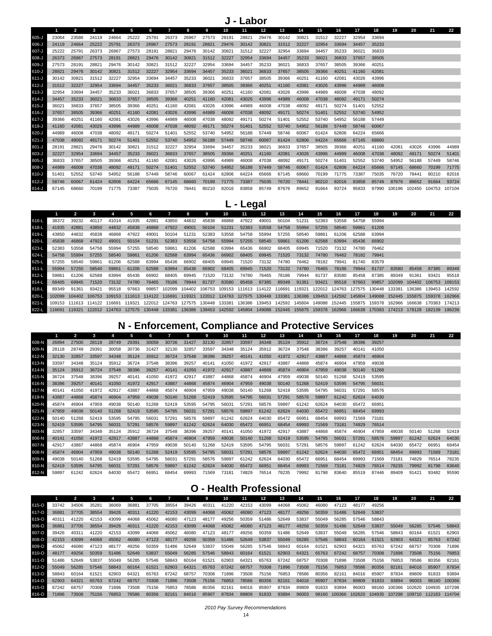|           |       | $\mathbf{2}$ |       |       |       |       |       |       |       | 10    |       | 12    | 13    | 14    | 15    | 16    | 17    | 18    | 19    | 20                          | 21    | 22    |
|-----------|-------|--------------|-------|-------|-------|-------|-------|-------|-------|-------|-------|-------|-------|-------|-------|-------|-------|-------|-------|-----------------------------|-------|-------|
| 605-J     | 23064 | 23586        | 24119 | 24664 | 25222 | 25791 | 26373 | 26967 | 27573 | 28191 | 28821 | 29476 | 30142 | 30821 | 31512 | 32227 | 32954 | 33694 |       |                             |       |       |
| 606-J     | 24119 | 24664        | 25222 | 25791 | 26373 | 26967 | 27573 | 28191 | 28821 | 29476 | 30142 | 30821 | 31512 | 32227 | 32954 | 33694 | 34457 | 35233 |       |                             |       |       |
| 607-J     | 25222 | 25791        | 26373 | 26967 | 27573 | 28191 | 28821 | 29476 | 30142 | 30821 | 31512 | 32227 | 32954 | 33694 | 34457 | 35233 | 36021 | 36833 |       |                             |       |       |
| 608-J     | 26373 | 26967        | 27573 | 28191 | 28821 | 29476 | 30142 | 30821 | 31512 | 32227 | 32954 | 33694 | 34457 | 35233 | 36021 | 36833 | 37657 | 38505 |       |                             |       |       |
| 609-J     | 27573 | 28191        | 28821 | 29476 | 30142 | 30821 | 31512 | 32227 | 32954 | 33694 | 34457 | 35233 | 36021 | 36833 | 37657 | 38505 | 39366 | 40251 |       |                             |       |       |
| 610-J     | 28821 | 29476        | 30142 | 30821 | 31512 | 32227 | 32954 | 33694 | 34457 | 35233 | 36021 | 36833 | 37657 | 38505 | 39366 | 40251 | 41160 | 42081 |       |                             |       |       |
| $611-J$   | 30142 | 30821        | 31512 | 32227 | 32954 | 33694 | 34457 | 35233 | 36021 | 36833 | 37657 | 38505 | 39366 | 40251 | 41160 | 42081 | 43026 | 43996 |       |                             |       |       |
| $612-J$   | 31512 | 32227        | 32954 | 33694 | 34457 | 35233 | 36021 | 36833 | 37657 | 38505 | 39366 | 40251 | 41160 | 42081 | 43026 | 43996 | 44989 | 46008 |       |                             |       |       |
| $613-J$   | 32954 | 33694        | 34457 | 35233 | 36021 | 36833 | 37657 | 38505 | 39366 | 40251 | 41160 | 42081 | 43026 | 43996 | 44989 | 46008 | 47038 | 48092 |       |                             |       |       |
| $614 - J$ | 34457 | 35233        | 36021 | 36833 | 37657 | 38505 | 39366 | 40251 | 41160 | 42081 | 43026 | 43996 | 44989 | 46008 | 47038 | 48092 | 49171 | 50274 |       |                             |       |       |
| $615 - J$ | 36021 | 36833        | 37657 | 38505 | 39366 | 40251 | 41160 | 42081 | 43026 | 43996 | 44989 | 46008 | 47038 | 48092 | 49171 | 50274 | 51401 | 52552 |       |                             |       |       |
| $616 - J$ | 37657 | 38505        | 39366 | 40251 | 41160 | 42081 | 43026 | 43996 | 44989 | 46008 | 47038 | 48092 | 49171 | 50274 | 51401 | 52552 | 53740 | 54952 |       |                             |       |       |
| 617-J     | 39366 | 40251        | 41160 | 42081 | 43026 | 43996 | 44989 | 46008 | 47038 | 48092 | 49171 | 50274 | 51401 | 52552 | 53740 | 54952 | 56188 | 57449 |       |                             |       |       |
| $618 - J$ | 41160 | 42081        | 43026 | 43996 | 44989 | 46008 | 47038 | 48092 | 49171 | 50274 | 51401 | 52552 | 53740 | 54952 | 56188 | 57449 | 58746 | 60067 |       |                             |       |       |
| 620-J     | 44989 | 46008        | 47038 | 48092 | 49171 | 50274 | 51401 | 52552 | 53740 | 54952 | 56188 | 57449 | 58746 | 60067 | 61424 | 62806 | 64224 | 65666 |       |                             |       |       |
| $621 - J$ | 47038 | 48092        | 49171 | 50274 | 51401 | 52552 | 53740 | 54952 | 56188 | 57449 | 58746 | 60067 | 61424 | 62806 | 64224 | 65666 | 67145 | 68660 |       |                             |       |       |
| $801 - J$ | 28191 | 28821        | 29476 | 30142 | 3082  | 31512 | 32227 | 32954 | 33694 | 34457 | 35233 | 36021 | 36833 | 37657 | 38505 | 39366 | 40251 | 41160 | 42081 | 43026                       | 43996 | 44989 |
| $803 - J$ | 32227 | 32954        | 33694 | 34457 | 35233 | 36021 | 36833 | 37657 | 38505 | 39366 | 40251 | 41160 | 42081 | 43026 | 43996 | 44989 | 46008 | 47038 | 48092 | 49171                       | 50274 | 51401 |
| $805 - J$ | 36833 | 37657        | 38505 | 39366 | 4025' | 41160 | 42081 | 43026 | 43996 | 44989 | 46008 | 47038 | 48092 | 49171 | 50274 | 51401 | 52552 | 53740 | 54952 | 56188                       | 57449 | 58746 |
| $808 - J$ | 44989 | 46008        | 47038 | 48092 | 49171 | 50274 | 51401 | 52552 | 53740 | 54952 | 56188 | 57449 | 58746 | 60067 | 61424 | 62806 | 64224 | 65666 | 67145 | 68660                       | 70199 | 71775 |
| $810 - J$ | 51401 | 52552        | 53740 | 54952 | 56188 | 57449 | 58746 | 60067 | 61424 | 62806 | 64224 | 65666 | 67145 | 68660 | 70199 | 71775 | 73387 | 75035 | 76720 | 78441                       | 80210 | 82016 |
| $812-J$   | 58746 | 60067        | 61424 | 62806 | 64224 | 65666 | 67145 | 68660 | 70199 | 71775 | 73387 | 75035 | 76720 | 78441 | 80210 | 82016 | 83858 | 85749 | 87676 | 89652                       | 91664 | 93724 |
| $814-J$   | 67145 | 68660        | 70199 | 71775 | 73387 | 75035 | 76720 | 78441 | 80210 | 82016 | 83858 | 85749 | 87676 | 89652 | 91664 | 93724 | 95833 | 97990 |       | 100196 102450 104753 107104 |       |       |

# **L - Legal**

|           |        |        |                      |       |       | 6.    |                      | 8      |       | 10.   | 11    | 12 <sup>2</sup> | 13                                                                                                                                   | 14    | 15    | 16    | 17    | 18    | 19     | 20     | 21            | 22     |
|-----------|--------|--------|----------------------|-------|-------|-------|----------------------|--------|-------|-------|-------|-----------------|--------------------------------------------------------------------------------------------------------------------------------------|-------|-------|-------|-------|-------|--------|--------|---------------|--------|
| 616-L     | 38372  | 39232  | 40117                | 41014 | 41935 | 42881 | 43850                | 44832  | 45838 | 46868 | 47922 | 49001           | 50104                                                                                                                                | 51231 | 52383 | 53558 | 54758 | 55994 |        |        |               |        |
| 618-L     | 41935  | 42881  | 43850                | 44832 | 45838 | 46868 | 47922                | 49001  | 50104 | 51231 | 52383 | 53558           | 54758                                                                                                                                | 55994 | 57255 | 58540 | 59861 | 61206 |        |        |               |        |
| 619-L     | 43850  | 44832  | 45838                | 46868 | 47922 | 49001 | 50104                | 51231  | 52383 | 53558 | 54758 | 55994           | 57255                                                                                                                                | 58540 | 59861 | 61206 | 62588 | 63994 |        |        |               |        |
| 620-L     | 45838  | 46868  | 47922                | 49001 | 50104 | 51231 | 52383                | 53558  | 54758 | 55994 | 57255 | 58540           | 59861                                                                                                                                | 61206 | 62588 | 63994 | 65436 | 66902 |        |        |               |        |
| 623-L     | 52383  | 53558  | 54758                | 55994 | 57255 | 58540 | 59861                | 61206  | 62588 | 63994 | 65436 | 66902           | 68405                                                                                                                                | 69945 | 71520 | 73132 | 74780 | 76462 |        |        |               |        |
| 624-L     | 54758  | 55994  | 57255                | 58540 | 59861 | 61206 | 62588                | 63994  | 65436 | 66902 | 68405 | 69945           | 71520                                                                                                                                | 73132 | 74780 | 76462 | 78182 | 79941 |        |        |               |        |
| $625 - L$ | 57255  | 58540  | 59861                | 61206 | 62588 | 63994 | 65436                | 66902  | 68405 | 69945 | 71520 | 73132           | 74780                                                                                                                                | 76462 | 78182 | 79941 | 81740 | 83579 |        |        |               |        |
| $811-L$   | 55994  | 57255  | 58540                | 59861 | 61206 | 62588 | 63994                | 65436  | 66902 | 68405 | 69945 | 71520           | 73132                                                                                                                                | 74780 | 76465 | 78186 | 79944 | 81737 | 83580  | 85458  | 87385         | 89349  |
| $812-L$   | 59861  | 61206  | 62588                | 63994 | 65436 | 66902 | 68405                | 69945  | 71520 | 73132 | 74780 | 76465           | 78186                                                                                                                                | 79944 | 81737 | 83580 | 85458 | 87385 | 89349  | 91361  | 93421         | 95518  |
| $814-L$   | 68405  | 69945  | 71520                | 73132 | 74780 | 76465 | 78186                | 79944  | 81737 | 83580 | 85458 | 87385           | 89349                                                                                                                                | 91361 | 93421 | 95518 | 97663 | 99857 | 102099 |        | 104402 106753 | 109153 |
| 818-L     | 89349  | 91361  | 93421                | 95518 | 97663 | 99857 | 102099               |        |       |       |       |                 | 104402 106753 109153 111613 114122 116691 119321 122012 124763 127575 130448                                                         |       |       |       |       |       | 133381 | 136386 | 139453 142592 |        |
| 820-L     |        |        | 104402 106753 109153 |       |       |       | 111613 114122 116691 | 119321 |       |       |       |                 | 122012 124763 127575 130448 133381 136386 139453 142592 145804 149088 152445 155875 159378 162966                                    |       |       |       |       |       |        |        |               |        |
| $821 - L$ |        |        |                      |       |       |       |                      |        |       |       |       |                 | 109153 111613 114122 116691 119321 122012 124763 127575 130448 133381 136386 139453 142592 145804 149088 152445 155875 159378 162966 |       |       |       |       |       |        |        | 166638 170383 | 174213 |
| 822-L     | 116691 | 119321 | 122012 124763        |       |       |       |                      |        |       |       |       |                 | 127575 130448 133381 136386 139453 142592 145804 149088 152445 155875 159378 162966 166638 170383 174213                             |       |       |       |       |       |        | 178128 | 182139        | 186236 |

### **N - Enforcement, Compliance and Protective Services**

|       |       | $\overline{2}$ | 3     | 4     | 5     | 6     | 7     | 8     | 9     | 10    | 11    | $12 \overline{ }$ | 13    | 14    | 15    | 16    | 17    | 18    | 19    | 20    | 21    | 22    |
|-------|-------|----------------|-------|-------|-------|-------|-------|-------|-------|-------|-------|-------------------|-------|-------|-------|-------|-------|-------|-------|-------|-------|-------|
| 608-N | 26894 | 27500          | 28118 | 28749 | 29391 | 30058 | 30736 | 31427 | 32130 | 32857 | 33597 | 34348             | 35124 | 35912 | 36724 | 37548 | 38396 | 39257 |       |       |       |       |
| 609-N | 28118 | 28749          | 29391 | 30058 | 30736 | 31427 | 32130 | 32857 | 33597 | 34348 | 35124 | 35912             | 36724 | 37548 | 38396 | 39257 | 40141 | 41050 |       |       |       |       |
| 612-N | 32130 | 32857          | 33597 | 34348 | 35124 | 35912 | 36724 | 37548 | 38396 | 39257 | 40141 | 41050             | 41972 | 42917 | 43887 | 44868 | 45874 | 46904 |       |       |       |       |
| 613-N | 33597 | 34348          | 35124 | 35912 | 36724 | 37548 | 38396 | 39257 | 40141 | 41050 | 41972 | 42917             | 43887 | 44868 | 45874 | 46904 | 47959 | 49038 |       |       |       |       |
| 614-N | 35124 | 35912          | 36724 | 37548 | 38396 | 39257 | 40141 | 41050 | 41972 | 42917 | 43887 | 44868             | 45874 | 46904 | 47959 | 49038 | 50140 | 51268 |       |       |       |       |
| 615-N | 36724 | 37548          | 38396 | 39257 | 40141 | 41050 | 41972 | 42917 | 43887 | 44868 | 45874 | 46904             | 47959 | 49038 | 50140 | 51268 | 52419 | 53595 |       |       |       |       |
| 616-N | 38396 | 39257          | 40141 | 41050 | 41972 | 42917 | 43887 | 44868 | 45874 | 46904 | 47959 | 49038             | 50140 | 51268 | 52419 | 53595 | 54795 | 56031 |       |       |       |       |
| 617-N | 40141 | 41050          | 41972 | 42917 | 43887 | 44868 | 45874 | 46904 | 47959 | 49038 | 50140 | 51268             | 52419 | 53595 | 54795 | 56031 | 57291 | 58576 |       |       |       |       |
| 619-N | 43887 | 44868          | 45874 | 46904 | 47959 | 49038 | 50140 | 51268 | 52419 | 53595 | 54795 | 56031             | 57291 | 58576 | 59897 | 61242 | 62624 | 64030 |       |       |       |       |
| 620-N | 45874 | 46904          | 47959 | 49038 | 50140 | 51268 | 52419 | 53595 | 54795 | 56031 | 57291 | 58576             | 59897 | 61242 | 62624 | 64030 | 65472 | 66951 |       |       |       |       |
| 621-N | 47959 | 49038          | 50140 | 51268 | 52419 | 53595 | 54795 | 56031 | 57291 | 58576 | 59897 | 61242             | 62624 | 64030 | 65472 | 66951 | 68454 | 69993 |       |       |       |       |
| 622-N | 50140 | 51268          | 52419 | 53595 | 54795 | 56031 | 57291 | 58576 | 59897 | 61242 | 62624 | 64030             | 65472 | 66951 | 68454 | 69993 | 71569 | 73181 |       |       |       |       |
| 623-N | 52419 | 53595          | 54795 | 56031 | 57291 | 58576 | 59897 | 61242 | 62624 | 64030 | 65472 | 66951             | 68454 | 69993 | 71569 | 73181 | 74829 | 76514 |       |       |       |       |
| 803-N | 32857 | 33597          | 34348 | 35124 | 35912 | 36724 | 37548 | 38396 | 39257 | 40141 | 41050 | 41972             | 42917 | 43887 | 44868 | 45874 | 46904 | 47959 | 49038 | 50140 | 51268 | 52419 |
| 806-N | 40141 | 41050          | 41972 | 42917 | 43887 | 44868 | 45874 | 46904 | 47959 | 49038 | 50140 | 51268             | 52419 | 53595 | 54795 | 56031 | 57291 | 58576 | 59897 | 61242 | 62624 | 64030 |
| 807-N | 42917 | 43887          | 44868 | 45874 | 46904 | 47959 | 49038 | 50140 | 51268 | 52419 | 53595 | 54795             | 56031 | 57291 | 58576 | 59897 | 61242 | 62624 | 64030 | 65472 | 66951 | 68454 |
| 808-N | 45874 | 46904          | 47959 | 49038 | 50140 | 51268 | 52419 | 53595 | 54795 | 56031 | 57291 | 58576             | 59897 | 61242 | 62624 | 64030 | 65472 | 66951 | 68454 | 69993 | 71569 | 73181 |
| 809-N | 49038 | 50140          | 51268 | 52419 | 53595 | 54795 | 56031 | 57291 | 58576 | 59897 | 61242 | 62624             | 64030 | 65472 | 66951 | 68454 | 69993 | 71569 | 73181 | 74829 | 76514 | 78235 |
| 810-N | 52419 | 53595          | 54795 | 56031 | 57291 | 58576 | 59897 | 61242 | 62624 | 64030 | 65472 | 66951             | 68454 | 69993 | 71569 | 73181 | 74829 | 76514 | 78235 | 79992 | 81798 | 83640 |
| 812-N | 59897 | 61242          | 62624 | 64030 | 65472 | 66951 | 68454 | 69993 | 71569 | 73181 | 74829 | 76514             | 78235 | 79992 | 81798 | 83640 | 85519 | 87446 | 89409 | 91421 | 93482 | 95590 |

### **O - Health Professional**

|       |       |       |       |       | 5     | 6     |       | 8     | 9     | 10    | 11    | 12    | 13    | 14    | 15    | 16     | 17     | 18     | 19     | 20     | 21     | 22     |
|-------|-------|-------|-------|-------|-------|-------|-------|-------|-------|-------|-------|-------|-------|-------|-------|--------|--------|--------|--------|--------|--------|--------|
| 615-O | 33742 | 34506 | 35281 | 36069 | 36881 | 37705 | 38554 | 39426 | 40311 | 41220 | 42153 | 43099 | 44068 | 45062 | 46080 | 47123  | 48177  | 49256  |        |        |        |        |
| 617-O | 36881 | 37705 | 38554 | 39426 | 40311 | 41220 | 42153 | 43099 | 44068 | 45062 | 46080 | 47123 | 48177 | 49256 | 50359 | 51486  | 52649  | 53837  |        |        |        |        |
| 619-O | 40311 | 41220 | 42153 | 43099 | 44068 | 45062 | 46080 | 47123 | 48177 | 49256 | 50359 | 51486 | 52649 | 53837 | 55049 | 56285  | 57546  | 58843  |        |        |        |        |
| 806-O | 36881 | 37705 | 38554 | 39426 | 40311 | 41220 | 42153 | 43099 | 44068 | 45062 | 46080 | 47123 | 48177 | 49256 | 50359 | 51486  | 52649  | 53837  | 55049  | 56285  | 57546  | 58843  |
| 807-O | 39426 | 40311 | 41220 | 42153 | 43099 | 44068 | 45062 | 46080 | 47123 | 48177 | 49256 | 50359 | 51486 | 52649 | 53837 | 55049  | 56285  | 57546  | 58843  | 60164  | 61521  | 62903  |
| 808-O | 42153 | 43099 | 44068 | 45062 | 46080 | 47123 | 48177 | 49256 | 50359 | 51486 | 52649 | 53837 | 55049 | 56285 | 57546 | 58843  | 60164  | 61521  | 62903  | 64321  | 65763  | 67242  |
| 809-O | 45062 | 46080 | 47123 | 48177 | 49256 | 50359 | 51486 | 52649 | 53837 | 55049 | 56285 | 57546 | 58843 | 60164 | 61521 | 62903  | 64321  | 65763  | 67242  | 68757  | 70308  | 71896  |
| 810-O | 48177 | 49256 | 50359 | 51486 | 52649 | 53837 | 55049 | 56285 | 57546 | 58843 | 60164 | 61521 | 62903 | 64321 | 65763 | 67242  | 68757  | 70308  | 71896  | 73508  | 75156  | 76853  |
| 811-O | 51486 | 52649 | 53837 | 55049 | 56285 | 57546 | 58843 | 60164 | 61521 | 62903 | 64321 | 65763 | 67242 | 68757 | 70308 | 71896  | 73508  | 75156  | 76853  | 78586  | 80356  | 82161  |
| 812-O | 55049 | 56285 | 57546 | 58843 | 60164 | 61521 | 62903 | 64321 | 65763 | 67242 | 68757 | 70308 | 71896 | 73508 | 75156 | 76853  | 78586  | 80356  | 82161  | 84016  | 85907  | 87834  |
| 813-O | 58843 | 60164 | 61521 | 62903 | 64321 | 65763 | 67242 | 68757 | 70308 | 71896 | 73508 | 75156 | 76853 | 78586 | 80356 | 82161  | 84016  | 85907  | 87834  | 89809  | 91833  | 93894  |
| 814-O | 62903 | 64321 | 65763 | 67242 | 68757 | 70308 | 71896 | 73508 | 75156 | 76853 | 78586 | 80356 | 82161 | 84016 | 85907 | 87834  | 89809  | 91833  | 93894  | 96003  | 98160  | 100366 |
| 815-O | 67242 | 68757 | 70308 | 71896 | 73508 | 75156 | 76853 | 78586 | 80356 | 82161 | 84016 | 85907 | 87834 | 89809 | 91833 | 93894  | 96003  | 98160  | 100366 | 102620 | 104935 | 107298 |
| 816-O | 71896 | 73508 | 75156 | 76853 | 78586 | 80356 | 82161 | 84016 | 85907 | 87834 | 89809 | 91833 | 93894 | 96003 | 98160 | 100366 | 102620 | 104935 | 107298 | 109710 | 112183 | 114704 |

*2010 Pay Survey Recommendations*